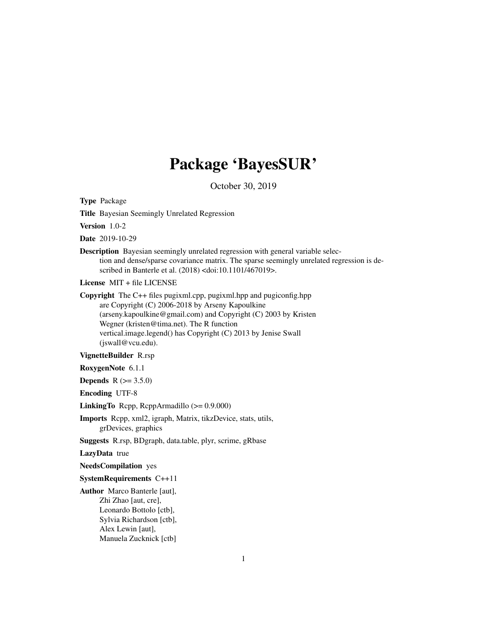# Package 'BayesSUR'

October 30, 2019

Type Package

Title Bayesian Seemingly Unrelated Regression

Version 1.0-2

Date 2019-10-29

Description Bayesian seemingly unrelated regression with general variable selection and dense/sparse covariance matrix. The sparse seemingly unrelated regression is described in Banterle et al. (2018) <doi:10.1101/467019>.

License MIT + file LICENSE

Copyright The C++ files pugixml.cpp, pugixml.hpp and pugiconfig.hpp are Copyright (C) 2006-2018 by Arseny Kapoulkine (arseny.kapoulkine@gmail.com) and Copyright (C) 2003 by Kristen Wegner (kristen@tima.net). The R function vertical.image.legend() has Copyright (C) 2013 by Jenise Swall (jswall@vcu.edu).

VignetteBuilder R.rsp

RoxygenNote 6.1.1

**Depends** R  $(>= 3.5.0)$ 

Encoding UTF-8

LinkingTo Rcpp, RcppArmadillo (>= 0.9.000)

Imports Rcpp, xml2, igraph, Matrix, tikzDevice, stats, utils, grDevices, graphics

Suggests R.rsp, BDgraph, data.table, plyr, scrime, gRbase

LazyData true

NeedsCompilation yes

#### SystemRequirements C++11

Author Marco Banterle [aut], Zhi Zhao [aut, cre], Leonardo Bottolo [ctb], Sylvia Richardson [ctb], Alex Lewin [aut], Manuela Zucknick [ctb]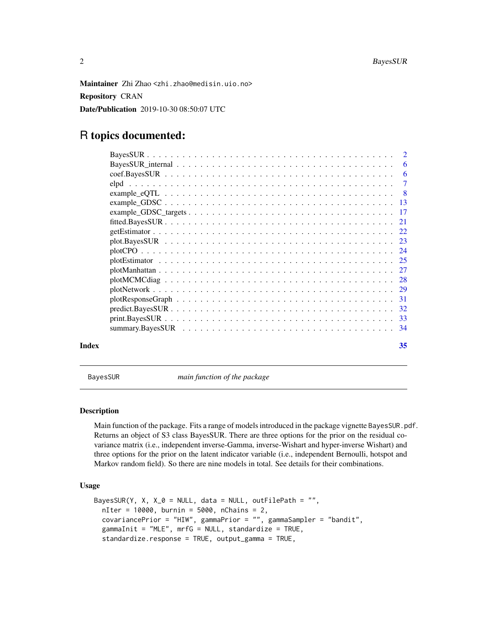<span id="page-1-0"></span>Maintainer Zhi Zhao <zhi.zhao@medisin.uio.no> Repository CRAN Date/Publication 2019-10-30 08:50:07 UTC

# R topics documented:

|       | - 6 |
|-------|-----|
|       |     |
|       |     |
|       |     |
|       |     |
|       |     |
|       |     |
|       |     |
|       |     |
|       |     |
|       |     |
|       |     |
|       |     |
|       |     |
|       |     |
|       |     |
|       |     |
| Index | 35  |

BayesSUR *main function of the package*

# Description

Main function of the package. Fits a range of models introduced in the package vignette BayesSUR.pdf. Returns an object of S3 class BayesSUR. There are three options for the prior on the residual covariance matrix (i.e., independent inverse-Gamma, inverse-Wishart and hyper-inverse Wishart) and three options for the prior on the latent indicator variable (i.e., independent Bernoulli, hotspot and Markov random field). So there are nine models in total. See details for their combinations.

# Usage

```
BayesSUR(Y, X, X_Q = NULL, data = NULL, outFilePath = "",
  nIter = 10000, burnin = 5000, nChains = 2,
  covariancePrior = "HIW", gammaPrior = "", gammaSampler = "bandit",
  gammaInit = "MLE", mrfG = NULL, standardize = TRUE,
  standardize.response = TRUE, output_gamma = TRUE,
```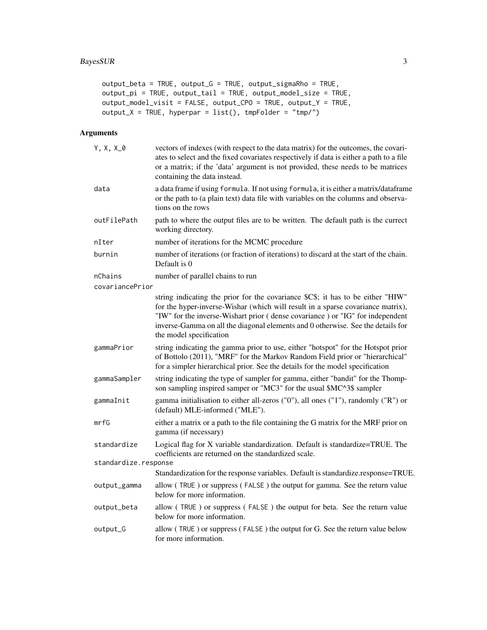```
output_beta = TRUE, output_G = TRUE, output_sigmaRho = TRUE,
output_pi = TRUE, output_tail = TRUE, output_model_size = TRUE,
output_model_visit = FALSE, output_CPO = TRUE, output_Y = TRUE,
output_X = TRUE, hyperpar = list(), tmpFolder = "tmp/")
```
# Arguments

| $Y, X, X_0$                | vectors of indexes (with respect to the data matrix) for the outcomes, the covari-<br>ates to select and the fixed covariates respectively if data is either a path to a file<br>or a matrix; if the 'data' argument is not provided, these needs to be matrices<br>containing the data instead.                                                                  |
|----------------------------|-------------------------------------------------------------------------------------------------------------------------------------------------------------------------------------------------------------------------------------------------------------------------------------------------------------------------------------------------------------------|
| data                       | a data frame if using formula. If not using formula, it is either a matrix/dataframe<br>or the path to (a plain text) data file with variables on the columns and observa-<br>tions on the rows                                                                                                                                                                   |
| outFilePath                | path to where the output files are to be written. The default path is the currect<br>working directory.                                                                                                                                                                                                                                                           |
| nIter                      | number of iterations for the MCMC procedure                                                                                                                                                                                                                                                                                                                       |
| burnin                     | number of iterations (or fraction of iterations) to discard at the start of the chain.<br>Default is 0                                                                                                                                                                                                                                                            |
| nChains<br>covariancePrior | number of parallel chains to run                                                                                                                                                                                                                                                                                                                                  |
|                            | string indicating the prior for the covariance \$C\$; it has to be either "HIW"<br>for the hyper-inverse-Wishar (which will result in a sparse covariance matrix),<br>"IW" for the inverse-Wishart prior (dense covariance) or "IG" for independent<br>inverse-Gamma on all the diagonal elements and 0 otherwise. See the details for<br>the model specification |
| gammaPrior                 | string indicating the gamma prior to use, either "hotspot" for the Hotspot prior<br>of Bottolo (2011), "MRF" for the Markov Random Field prior or "hierarchical"<br>for a simpler hierarchical prior. See the details for the model specification                                                                                                                 |
| gammaSampler               | string indicating the type of sampler for gamma, either "bandit" for the Thomp-<br>son sampling inspired samper or "MC3" for the usual \$MC^3\$ sampler                                                                                                                                                                                                           |
| gammaInit                  | gamma initialisation to either all-zeros ("0"), all ones ("1"), randomly ("R") or<br>(default) MLE-informed ("MLE").                                                                                                                                                                                                                                              |
| mrfG                       | either a matrix or a path to the file containing the G matrix for the MRF prior on<br>gamma (if necessary)                                                                                                                                                                                                                                                        |
| standardize                | Logical flag for X variable standardization. Default is standardize=TRUE. The<br>coefficients are returned on the standardized scale.                                                                                                                                                                                                                             |
| standardize.response       |                                                                                                                                                                                                                                                                                                                                                                   |
|                            | Standardization for the response variables. Default is standardize.response=TRUE.                                                                                                                                                                                                                                                                                 |
| output_gamma               | allow (TRUE) or suppress (FALSE) the output for gamma. See the return value<br>below for more information.                                                                                                                                                                                                                                                        |
| output_beta                | allow (TRUE) or suppress (FALSE) the output for beta. See the return value<br>below for more information.                                                                                                                                                                                                                                                         |
| output_G                   | allow (TRUE) or suppress (FALSE) the output for G. See the return value below<br>for more information.                                                                                                                                                                                                                                                            |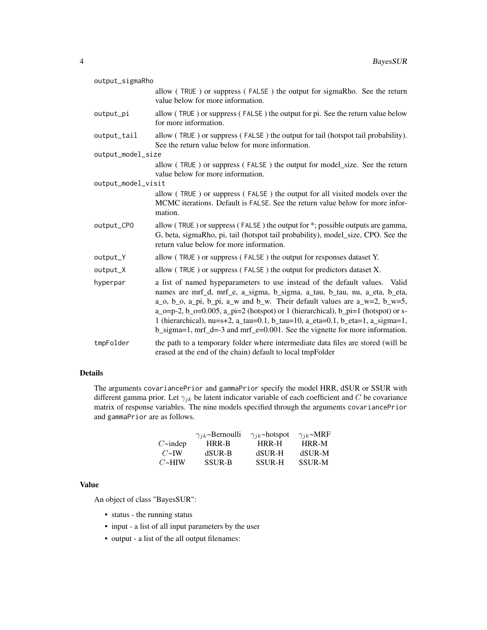| output_sigmaRho    |                                                                                                                                                                                                                                                                                                                                                                                                                                                                                                                               |
|--------------------|-------------------------------------------------------------------------------------------------------------------------------------------------------------------------------------------------------------------------------------------------------------------------------------------------------------------------------------------------------------------------------------------------------------------------------------------------------------------------------------------------------------------------------|
|                    | allow (TRUE) or suppress (FALSE) the output for sigmaRho. See the return<br>value below for more information.                                                                                                                                                                                                                                                                                                                                                                                                                 |
| output_pi          | allow (TRUE) or suppress (FALSE) the output for pi. See the return value below<br>for more information.                                                                                                                                                                                                                                                                                                                                                                                                                       |
| output_tail        | allow (TRUE) or suppress (FALSE) the output for tail (hotspot tail probability).<br>See the return value below for more information.                                                                                                                                                                                                                                                                                                                                                                                          |
| output_model_size  |                                                                                                                                                                                                                                                                                                                                                                                                                                                                                                                               |
|                    | allow (TRUE) or suppress (FALSE) the output for model_size. See the return<br>value below for more information.                                                                                                                                                                                                                                                                                                                                                                                                               |
| output_model_visit |                                                                                                                                                                                                                                                                                                                                                                                                                                                                                                                               |
|                    | allow (TRUE) or suppress (FALSE) the output for all visited models over the<br>MCMC iterations. Default is FALSE. See the return value below for more infor-<br>mation.                                                                                                                                                                                                                                                                                                                                                       |
| output_CPO         | allow (TRUE) or suppress (FALSE) the output for *; possible outputs are gamma,<br>G, beta, sigmaRho, pi, tail (hotspot tail probability), model_size, CPO. See the<br>return value below for more information.                                                                                                                                                                                                                                                                                                                |
| output_Y           | allow (TRUE) or suppress (FALSE) the output for responses dataset Y.                                                                                                                                                                                                                                                                                                                                                                                                                                                          |
| output_X           | allow (TRUE) or suppress (FALSE) the output for predictors dataset X.                                                                                                                                                                                                                                                                                                                                                                                                                                                         |
| hyperpar           | a list of named hypeparameters to use instead of the default values. Valid<br>names are mrf_d, mrf_e, a_sigma, b_sigma, a_tau, b_tau, nu, a_eta, b_eta,<br>$a_0$ , $b_0$ , $a_p$ , $b_p$ , $a_w$ and $b_w$ . Their default values are $a_w$ =2, $b_w$ =5,<br>$a_0 = p-2$ , $b_0 = 0.005$ , $a_p = 2$ (hotspot) or 1 (hierarchical), $b_p = 1$ (hotspot) or s-<br>1 (hierarchical), nu=s+2, a_tau=0.1, b_tau=10, a_eta=0.1, b_eta=1, a_sigma=1,<br>b_sigma=1, mrf_d=-3 and mrf_e=0.001. See the vignette for more information. |
| tmpFolder          | the path to a temporary folder where intermediate data files are stored (will be<br>erased at the end of the chain) default to local tmpFolder                                                                                                                                                                                                                                                                                                                                                                                |

# Details

The arguments covariancePrior and gammaPrior specify the model HRR, dSUR or SSUR with different gamma prior. Let  $\gamma_{jk}$  be latent indicator variable of each coefficient and C be covariance matrix of response variables. The nine models specified through the arguments covariancePrior and gammaPrior are as follows.

|                      | $\gamma_{ik}$ ~Bernoulli | $\gamma_{jk}$ ~hotspot | $\gamma_{ik}$ ~MRF |
|----------------------|--------------------------|------------------------|--------------------|
| $C\rightarrow$ indep | HRR-B                    | HRR-H                  | HRR-M              |
| $C\simeq$ IW         | dSUR-B                   | dSUR-H                 | dSUR-M             |
| $C\rightarrow HIW$   | <b>SSUR-B</b>            | <b>SSUR-H</b>          | <b>SSUR-M</b>      |

# Value

An object of class "BayesSUR":

- status the running status
- input a list of all input parameters by the user
- output a list of the all output filenames: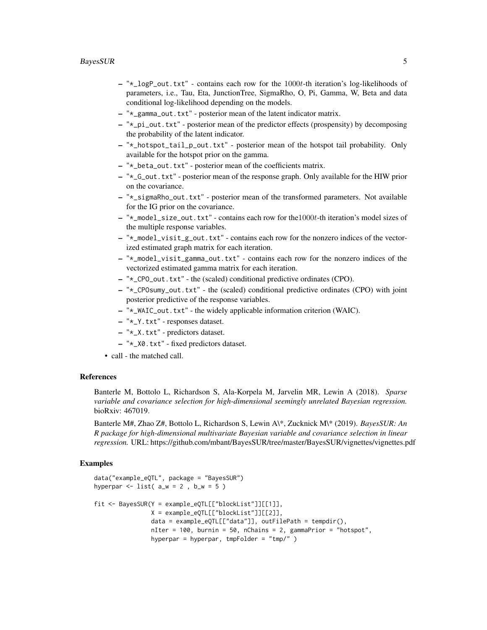#### BayesSUR 5

- $-$  " $\star$ \_logP\_out.txt" contains each row for the 1000t-th iteration's log-likelihoods of parameters, i.e., Tau, Eta, JunctionTree, SigmaRho, O, Pi, Gamma, W, Beta and data conditional log-likelihood depending on the models.
- "\*\_gamma\_out.txt" posterior mean of the latent indicator matrix.
- "\*\_pi\_out.txt" posterior mean of the predictor effects (prospensity) by decomposing the probability of the latent indicator.
- "\*\_hotspot\_tail\_p\_out.txt" posterior mean of the hotspot tail probability. Only available for the hotspot prior on the gamma.
- "\*\_beta\_out.txt" posterior mean of the coefficients matrix.
- "\*\_G\_out.txt" posterior mean of the response graph. Only available for the HIW prior on the covariance.
- "\*\_sigmaRho\_out.txt" posterior mean of the transformed parameters. Not available for the IG prior on the covariance.
- "\*\_model\_size\_out.txt" contains each row for the1000t-th iteration's model sizes of the multiple response variables.
- "\*\_model\_visit\_g\_out.txt" contains each row for the nonzero indices of the vectorized estimated graph matrix for each iteration.
- "\*\_model\_visit\_gamma\_out.txt" contains each row for the nonzero indices of the vectorized estimated gamma matrix for each iteration.
- "\*\_CPO\_out.txt" the (scaled) conditional predictive ordinates (CPO).
- "\*\_CPOsumy\_out.txt" the (scaled) conditional predictive ordinates (CPO) with joint posterior predictive of the response variables.
- "\*\_WAIC\_out.txt" the widely applicable information criterion (WAIC).
- "\*\_Y.txt" responses dataset.
- "\*\_X.txt" predictors dataset.
- "\*\_X0.txt" fixed predictors dataset.
- call the matched call.

# References

Banterle M, Bottolo L, Richardson S, Ala-Korpela M, Jarvelin MR, Lewin A (2018). *Sparse variable and covariance selection for high-dimensional seemingly unrelated Bayesian regression.* bioRxiv: 467019.

Banterle M#, Zhao Z#, Bottolo L, Richardson S, Lewin A\\*, Zucknick M\\* (2019). *BayesSUR: An R package for high-dimensional multivariate Bayesian variable and covariance selection in linear regression.* URL: https://github.com/mbant/BayesSUR/tree/master/BayesSUR/vignettes/vignettes.pdf

```
data("example_eQTL", package = "BayesSUR")
hyperpar \le list( a_w = 2, b_w = 5)
fit <- BayesSUR(Y = example_eQTL[["blockList"]][[1]],
               X = example_eQTL[["blockList"]][[2]],
                data = example_eQTL[["data"]], outFilePath = tempdir(),
                nIter = 100, burnin = 50, nChains = 2, gammaPrior = "hotspot",
                hyperpar = hyperpar, tmpFolder = "tmp/" )
```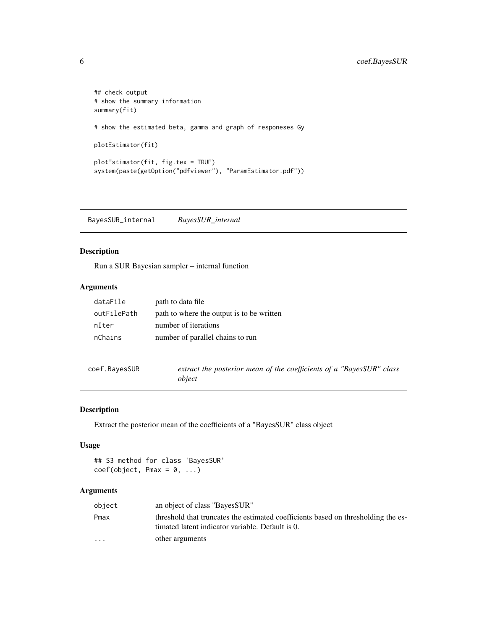```
## check output
# show the summary information
summary(fit)
# show the estimated beta, gamma and graph of responeses Gy
plotEstimator(fit)
plotEstimator(fit, fig.tex = TRUE)
system(paste(getOption("pdfviewer"), "ParamEstimator.pdf"))
```
BayesSUR\_internal *BayesSUR\_internal*

# Description

Run a SUR Bayesian sampler – internal function

# Arguments

| dataFile    | path to data file                         |
|-------------|-------------------------------------------|
| outFilePath | path to where the output is to be written |
| nIter       | number of iterations                      |
| nChains     | number of parallel chains to run          |
|             |                                           |

| coef.BayesSUR |        |  |  | extract the posterior mean of the coefficients of a "BayesSUR" class |  |
|---------------|--------|--|--|----------------------------------------------------------------------|--|
|               | obiect |  |  |                                                                      |  |

# Description

Extract the posterior mean of the coefficients of a "BayesSUR" class object

### Usage

## S3 method for class 'BayesSUR'  $coef(object, Pmax = 0, ...)$ 

# Arguments

| object                  | an object of class "BayesSUR"                                                                                                         |
|-------------------------|---------------------------------------------------------------------------------------------------------------------------------------|
| Pmax                    | threshold that truncates the estimated coefficients based on thresholding the es-<br>timated latent indicator variable. Default is 0. |
| $\cdot$ $\cdot$ $\cdot$ | other arguments                                                                                                                       |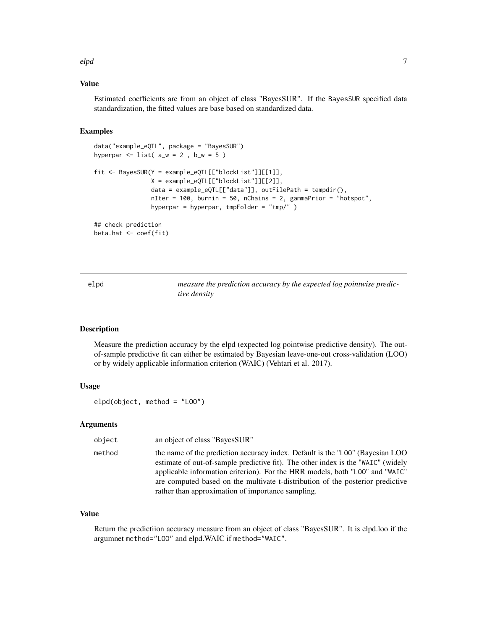<span id="page-6-0"></span>elpd 2008 - 2009 - 2009 - 2009 - 2009 - 2009 - 2009 - 2009 - 2009 - 2009 - 2009 - 2009 - 2009 - 2009 - 2009 -

# Value

Estimated coefficients are from an object of class "BayesSUR". If the BayesSUR specified data standardization, the fitted values are base based on standardized data.

# Examples

```
data("example_eQTL", package = "BayesSUR")
hyperpar \le list( a_w = 2, b_w = 5)
fit <- BayesSUR(Y = example_eQTL[["blockList"]][[1]],
                X = example_eQTL[["blockList"]][[2]],
                data = example_eQTL[["data"]], outFilePath = tempdir(),
                nIter = 100, burnin = 50, nChains = 2, gammaPrior = "hotspot",
                hyperpar = hyperpar, tmpFolder = "tmp/" )
## check prediction
beta.hat <- coef(fit)
```
elpd *measure the prediction accuracy by the expected log pointwise predictive density*

#### Description

Measure the prediction accuracy by the elpd (expected log pointwise predictive density). The outof-sample predictive fit can either be estimated by Bayesian leave-one-out cross-validation (LOO) or by widely applicable information criterion (WAIC) (Vehtari et al. 2017).

# Usage

```
elpd(object, method = "LOO")
```
# Arguments

| object | an object of class "BayesSUR"                                                                                                                                                                                                                                                                                                                                                            |
|--------|------------------------------------------------------------------------------------------------------------------------------------------------------------------------------------------------------------------------------------------------------------------------------------------------------------------------------------------------------------------------------------------|
| method | the name of the prediction accuracy index. Default is the "LOO" (Bayesian LOO<br>estimate of out-of-sample predictive fit). The other index is the "WAIC" (widely<br>applicable information criterion). For the HRR models, both "L00" and "WAIC"<br>are computed based on the multivate t-distribution of the posterior predictive<br>rather than approximation of importance sampling. |

# Value

Return the predictiion accuracy measure from an object of class "BayesSUR". It is elpd.loo if the argumnet method="LOO" and elpd.WAIC if method="WAIC".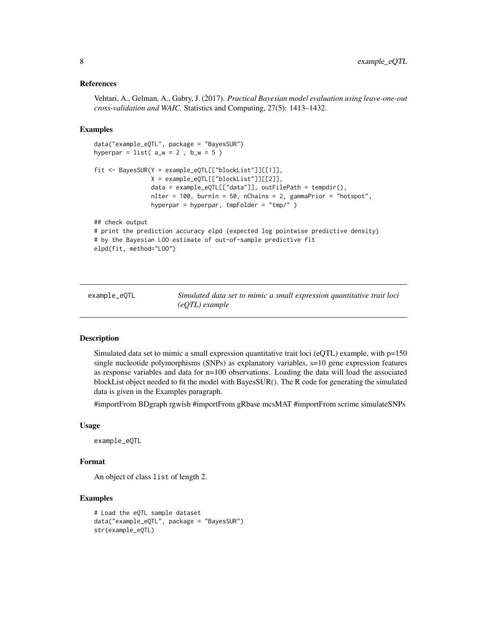#### <span id="page-7-0"></span>References

Vehtari, A., Gelman, A., Gabry, J. (2017). *Practical Bayesian model evaluation using leave-one-out cross-validation and WAIC.* Statistics and Computing, 27(5): 1413–1432.

#### Examples

```
data("example_eQTL", package = "BayesSUR")
hyperpar = list(a_w = 2, b_w = 5)
fit <- BayesSUR(Y = example_eQTL[["blockList"]][[1]],
                X = example_eQTL[["blockList"]][[2]],
                data = example_eQTL[["data"]], outFilePath = tempdir(),
                nIter = 100, burnin = 50, nChains = 2, gammaPrior = "hotspot",
                hyperpar = hyperpar, tmpFolder = "tmp/" )
## check output
# print the prediction accuracy elpd (expected log pointwise predictive density)
# by the Bayesian LOO estimate of out-of-sample predictive fit
elpd(fit, method="LOO")
```
example\_eQTL *Simulated data set to mimic a small expression quantitative trait loci (eQTL) example*

#### Description

Simulated data set to mimic a small expression quantitative trait loci (eQTL) example, with p=150 single nucleotide polymorphisms (SNPs) as explanatory variables, s=10 gene expression features as response variables and data for n=100 observations. Loading the data will load the associated blockList object needed to fit the model with BayesSUR(). The R code for generating the simulated data is given in the Examples paragraph.

#importFrom BDgraph rgwish #importFrom gRbase mcsMAT #importFrom scrime simulateSNPs

#### Usage

example\_eQTL

#### Format

An object of class list of length 2.

```
# Load the eQTL sample dataset
data("example_eQTL", package = "BayesSUR")
str(example_eQTL)
```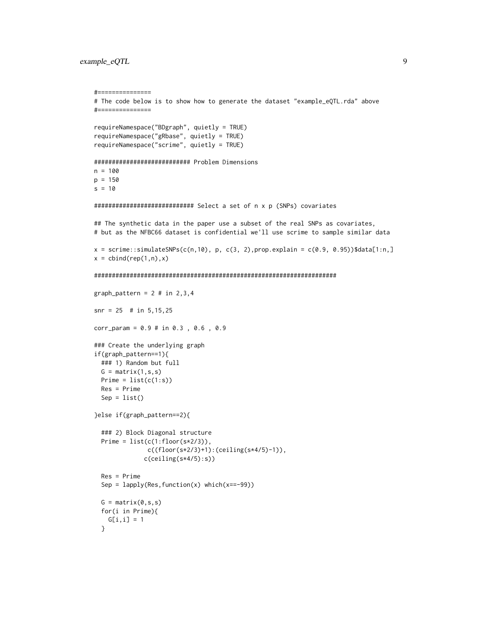#### example\_eQTL 9

```
#===============
# The code below is to show how to generate the dataset "example_eQTL.rda" above
#===============
requireNamespace("BDgraph", quietly = TRUE)
requireNamespace("gRbase", quietly = TRUE)
requireNamespace("scrime", quietly = TRUE)
########################### Problem Dimensions
n = 100p = 150
s = 10############################ Select a set of n x p (SNPs) covariates
## The synthetic data in the paper use a subset of the real SNPs as covariates,
# but as the NFBC66 dataset is confidential we'll use scrime to sample similar data
x = \text{scrime}:\text{simulatesNPs}(c(n,10), p, c(3, 2), prop. explain = c(0.9, 0.95))$data[1:n,]
x = \text{cbind}(\text{rep}(1, n), x)####################################################################
graph_pattern = 2 \# in 2, 3, 4snr = 25 # in 5,15,25
corr_param = 0.9 # in 0.3 , 0.6 , 0.9
### Create the underlying graph
if(graph_pattern==1){
  ### 1) Random but full
  G = matrix(1, s, s)Prime = list(c(1:s))Res = Prime
  Sep = list()}else if(graph_pattern==2){
  ### 2) Block Diagonal structure
  Prime = list(c(1:floor(s*2/3)),c((floor(s*2/3)+1):(ceiling(s*4/5)-1)),
              c(ceiling(s*4/5):s))
  Res = Prime
  Sep = lapply(Res, function(x) which(x==-99))
  G = matrix(0, s, s)for(i in Prime){
   G[i, i] = 1}
```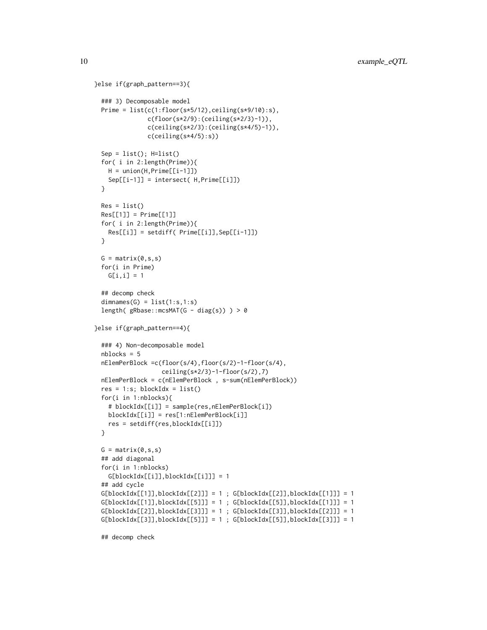```
}else if(graph_pattern==3){
 ### 3) Decomposable model
 Prime = list(c(1:floor(s*5/12),ceiling(s*9/10):s),
               c(floor(s*2/9):(ceiling(s*2/3)-1)),
               c(ceiling(s*2/3):(ceiling(s*4/5)-1)),
              c(ceiling(s*4/5):s))
 Sep = list(); H=list()for( i in 2:length(Prime)){
   H = union(H, Prime[[i-1]])Sep[[i-1]] = intersect( H,Prime[[i]])
 }
 Res = list()Res[[1]] = Prime[[1]]for( i in 2:length(Prime)){
   Res[[i]] = setdiff( Prime[[i]],Sep[[i-1]])
 }
 G = matrix(0, s, s)for(i in Prime)
   G[i, i] = 1## decomp check
 dimensiones(G) = list(1:s,1:s)length( gRbase::mcsMAT(G - diag(s)) > 0}else if(graph_pattern==4){
 ### 4) Non-decomposable model
 nblocks = 5
 nElemPerBlock =c(floor(s/4),floor(s/2)-1-floor(s/4),
                  ceiling(s*2/3)-1-floor(s/2),7)
 nElemPerBlock = c(nElemPerBlock , s-sum(nElemPerBlock))
 res = 1:s; blockIdx = list()for(i in 1:nblocks){
   # blockIdx[[i]] = sample(res,nElemPerBlock[i])
   blockIdx[[i]] = res[1:nElemPerBlock[i]]
   res = setdiff(res,blockIdx[[i]])
 }
 G = matrix(0, s, s)## add diagonal
 for(i in 1:nblocks)
   G[blockIdx[[i]],blockIdx[[i]]] = 1
 ## add cycle
 G[blockIdx[[1]], blockIdx[[2]]] = 1; G[blockIdx[[2]], blockIdx[[1]]] = 1G[blockIdx[[1]], blockIdx[[5]]] = 1; G[blockIdx[[5]], blockIdx[[1]]] = 1G[blockIdx[[2]], blockIdx[[3]]] = 1; G[blockIdx[[3]], blockIdx[[2]]] = 1G[blockIdx[[3]], blockIdx[[5]]] = 1; G[blockIdx[[5]], blockIdx[[3]]] = 1
```
## decomp check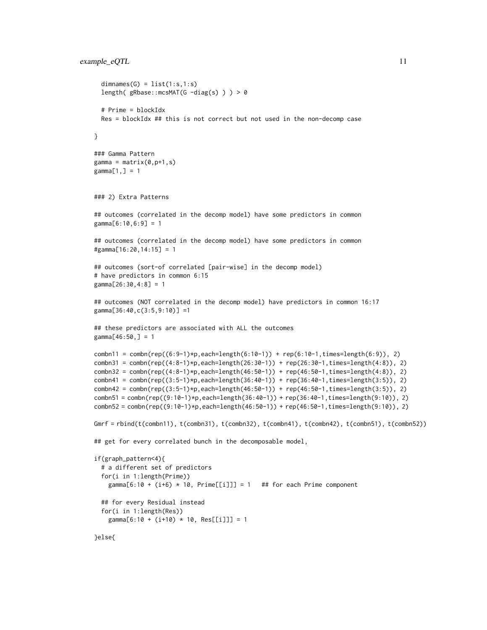#### example\_eQTL 11

```
dimensiones(G) = list(1:s,1:s)length( gRbase::mcsMAT(G - diag(s) ) > 0# Prime = blockIdx
 Res = blockIdx ## this is not correct but not used in the non-decomp case
}
### Gamma Pattern
gamma = matrix(0,p+1,s)gamma[1,] = 1### 2) Extra Patterns
## outcomes (correlated in the decomp model) have some predictors in common
gamma[6:10,6:9] = 1
## outcomes (correlated in the decomp model) have some predictors in common
#gamma[16:20,14:15] = 1
## outcomes (sort-of correlated [pair-wise] in the decomp model)
# have predictors in common 6:15
gamma[26:30,4:8] = 1
## outcomes (NOT correlated in the decomp model) have predictors in common 16:17
gamma[36:40,c(3:5,9:10)] =1
## these predictors are associated with ALL the outcomes
gamma[46:50,] = 1combn11 = combn(rep((6:9-1)*p, each=length(6:10-1)) + rep(6:10-1, times=length(6:9)), 2)
combn31 = combn(rep((4:8-1)*p, each=length(26:30-1)) + rep(26:30-1, times=length(4:8)), 2)
combn32 = combn(rep((4:8-1)*p, each=length(46:50-1)) + rep(46:50-1, times=length(4:8)), 2)combn41 = combn(rep((3:5-1)*p, each=length(36:40-1)) + rep(36:40-1, times=length(3:5)), 2)
combn42 = combn(rep((3:5-1)*p, each=length(46:50-1)) + rep(46:50-1, times=length(3:5)), 2)
{\tt combn51} = {\tt combn}({\tt rep}({\tt 9:10-1})*{\tt p}, {\tt each=length}(36:40-1)) + {\tt rep}(36:40-1,{\tt times=length}(9:10)), 2)combn52 = combn(rep((9:10-1)*p,each=length(46:50-1)) + rep(46:50-1,times=length(9:10)), 2)
Gmrf = rbind(t(combn11), t(combn31), t(combn32), t(combn41), t(combn42), t(combn51), t(combn52))
## get for every correlated bunch in the decomposable model,
if(graph_pattern<4){
 # a different set of predictors
 for(i in 1:length(Prime))
    gamma[6:10 + (i+6) * 10, Prime[[i]]] = 1 ## for each Prime component
 ## for every Residual instead
 for(i in 1:length(Res))
    gamma[6:10 + (i+10) * 10, Res[[i]]] = 1
```
}else{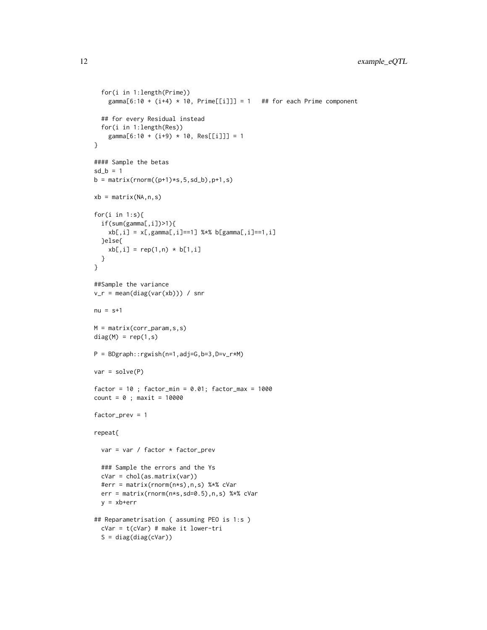```
for(i in 1:length(Prime))
    gamma[6:10 + (i+4) * 10, Prime[[i]]] = 1 ## for each Prime component
  ## for every Residual instead
  for(i in 1:length(Res))
    gamma[6:10 + (i+9) * 10, Res[[i]]] = 1}
#### Sample the betas
sd_b = 1b = matrix(rnorm((p+1)*s, 5, sd_b), p+1, s)xb = matrix(NA, n, s)for(i in 1:s){
  if(sum(gamma[,i])>1){
   xb[,i] = x[, gamma[, i] == 1] %*% b[gamma[,i]==1,i]
  }else{
   xb[, i] = rep(1, n) * b[1, i]}
}
##Sample the variance
v_r = mean(diag(var(xb))) / snr
nu = s+1M = matrix(corr_param,s,s)
diag(M) = rep(1,s)P = BDgraph::rgwish(n=1,adj=G,b=3,D=v_r*M)
var = solve(P)
factor = 10; factor\_min = 0.01; factor\_max = 1000count = 0; maxit = 10000
factor_prev = 1
repeat{
  var = var / factor * factor_prev
  ### Sample the errors and the Ys
  cVar = chol(as.matrix(var))
  #err = matrix(rnorm(n*s),n,s) %*% cVar
  err = matrix(rnorm(n*s,sd=0.5),n,s) %*% cVar
  y = xb+err
## Reparametrisation ( assuming PEO is 1:s )
  cVar = t(cVar) # make it lower-tri
  S = diag(diag(cVar))
```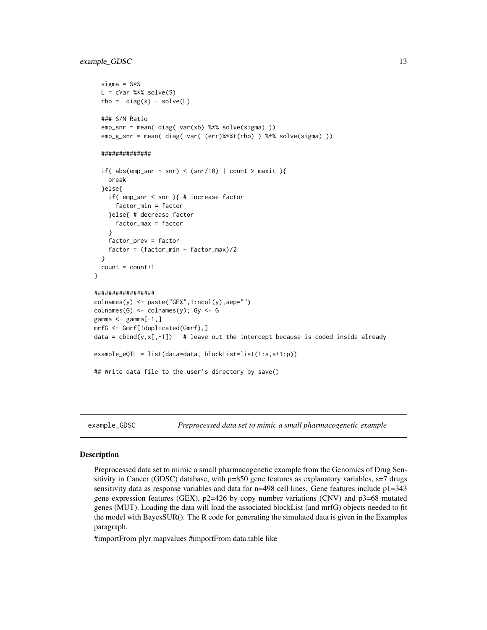# <span id="page-12-0"></span>example\_GDSC 13

```
sigma = S*SL = cVar %*% solve(S)rho = diag(s) - solve(L)### S/N Ratio
 emp_snr = mean( diag( var(xb) %*% solve(sigma) ))
 emp_g_snr = mean( diag( var( (err)%*%t(rho) ) %*% solve(sigma) ))
 ##############
 if( abs(em_snr - snr) < (snr/10) | count > maxit ){
   break
  }else{
    if( emp_snr < snr ){ # increase factor
      factor_min = factor
   }else{ # decrease factor
      factor_max = factor
    }
    factor_prev = factor
    factor = (factor_min + factor_max)/2
 }
 count = count + 1}
#################
colnames(y) <- paste("GEX",1:ncol(y),sep="")
colnames(G) \leftarrow colnames(y); Gy \leftarrow Ggamma \leq gamma[-1,]mrfG <- Gmrf[!duplicated(Gmrf),]
data = cbind(y, x[,-1]) # leave out the intercept because is coded inside already
example_eQTL = list(data=data, blockList=list(1:s,s+1:p))
## Write data file to the user's directory by save()
```
example\_GDSC *Preprocessed data set to mimic a small pharmacogenetic example*

#### Description

Preprocessed data set to mimic a small pharmacogenetic example from the Genomics of Drug Sensitivity in Cancer (GDSC) database, with  $p=850$  gene features as explanatory variables,  $s=7$  drugs sensitivity data as response variables and data for  $n=498$  cell lines. Gene features include  $p1=343$ gene expression features (GEX),  $p2=426$  by copy number variations (CNV) and  $p3=68$  mutated genes (MUT). Loading the data will load the associated blockList (and mrfG) objects needed to fit the model with BayesSUR(). The R code for generating the simulated data is given in the Examples paragraph.

#importFrom plyr mapvalues #importFrom data.table like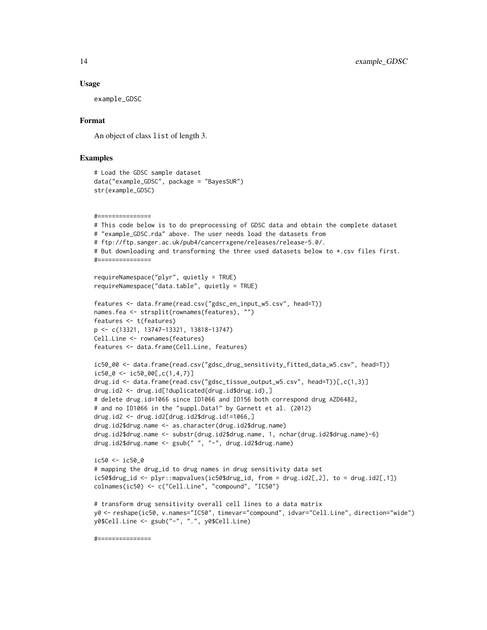#### Usage

example\_GDSC

# Format

An object of class list of length 3.

#### Examples

```
# Load the GDSC sample dataset
data("example_GDSC", package = "BayesSUR")
str(example_GDSC)
```

```
#===============
# This code below is to do preprocessing of GDSC data and obtain the complete dataset
# "example_GDSC.rda" above. The user needs load the datasets from
# ftp://ftp.sanger.ac.uk/pub4/cancerrxgene/releases/release-5.0/.
# But downloading and transforming the three used datasets below to *.csv files first.
#===============
```

```
requireNamespace("plyr", quietly = TRUE)
requireNamespace("data.table", quietly = TRUE)
```
colnames(ic50) <- c("Cell.Line", "compound", "IC50")

```
features <- data.frame(read.csv("gdsc_en_input_w5.csv", head=T))
names.fea <- strsplit(rownames(features), "")
features <- t(features)
p <- c(13321, 13747-13321, 13818-13747)
Cell.Line <- rownames(features)
features <- data.frame(Cell.Line, features)
```

```
ic50_00 <- data.frame(read.csv("gdsc_drug_sensitivity_fitted_data_w5.csv", head=T))
ic50_0 \leftarrow ic50_00[,c(1,4,7)]drug.id <- data.frame(read.csv("gdsc_tissue_output_w5.csv", head=T))[,c(1,3)]
drug.id2 <- drug.id[!duplicated(drug.id$drug.id),]
# delete drug.id=1066 since ID1066 and ID156 both correspond drug AZD6482,
# and no ID1066 in the "suppl.Data1" by Garnett et al. (2012)
drug.id2 <- drug.id2[drug.id2$drug.id!=1066,]
drug.id2$drug.name <- as.character(drug.id2$drug.name)
drug.id2$drug.name <- substr(drug.id2$drug.name, 1, nchar(drug.id2$drug.name)-6)
```

```
drug.id2$drug.name <- gsub(" ", "-", drug.id2$drug.name)
ic50 <- ic50_0
# mapping the drug_id to drug names in drug sensitivity data set
ic50$drug_id <- plyr::mapvalues(ic50$drug_id, from = drug.id2[,2], to = drug.id2[,1])
```

```
# transform drug sensitivity overall cell lines to a data matrix
y0 <- reshape(ic50, v.names="IC50", timevar="compound", idvar="Cell.Line", direction="wide")
y0$Cell.Line <- gsub("-", ".", y0$Cell.Line)
```
#===============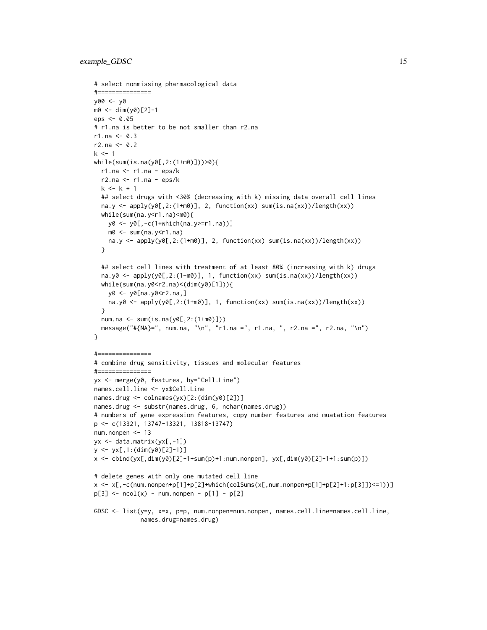```
# select nonmissing pharmacological data
#===============
y00 <- y0
m0 <- dim(y0)[2]-1
eps <- 0.05
# r1.na is better to be not smaller than r2.na
r1.na < -0.3r2.na < -0.2k < -1while(sum(is.na(y0[,2:(1+m0)]))>0){
  r1.na <- r1.na - eps/k
  r2.na \le r1.na - eps/kk < -k + 1## select drugs with <30% (decreasing with k) missing data overall cell lines
  na.y <- apply(y0[,2:(1+m0)], 2, function(xx) sum(is.na(xx))/length(xx))
  while(sum(na.y<r1.na)<m0){
   y0 <- y0[,-c(1+which(na.y>=r1.na))]
   m0 <- sum(na.y<r1.na)
   na.y <- apply(y0[,2:(1+m0)], 2, function(xx) sum(is.na(xx))/length(xx))
  }
  ## select cell lines with treatment of at least 80% (increasing with k) drugs
  na.y0 <- apply(y0[,2:(1+m0)], 1, function(xx) sum(is.na(xx))/length(xx))
  while(sum(na.y0 < r2.na) < (dim(y0)[1]))y0 <- y0[na.y0<r2.na,]
   na.y0 <- aply(y@[,2:(1+m@)], 1, function(xx) sum(is.na(xx))/length(xx))\lambdanum.na <- sum(is.na(y0[,2:(1+m0)]))
  message("#{NA}=", num.na, "\n", "r1.na =", r1.na, ", r2.na =", r2.na, "\n")
}
#===============
# combine drug sensitivity, tissues and molecular features
#===============
yx <- merge(y0, features, by="Cell.Line")
names.cell.line <- yx$Cell.Line
names.drug <- colnames(yx)[2:(dim(y0)[2])]
names.drug <- substr(names.drug, 6, nchar(names.drug))
# numbers of gene expression features, copy number festures and muatation features
p <- c(13321, 13747-13321, 13818-13747)
num.nonpen <- 13
yx <- data.matrix(yx[,-1])
y <- yx[,1:(dim(y0)[2]-1)]
x <- cbind(yx[,dim(y0)[2]-1+sum(p)+1:num.nonpen], yx[,dim(y0)[2]-1+1:sum(p)])
# delete genes with only one mutated cell line
x <- x[,-c(num.nonpen+p[1]+p[2]+which(colSums(x[,num.nonpen+p[1]+p[2]+1:p[3]])<=1))]
p[3] <- ncol(x) - num.nonpen - p[1] - p[2]GDSC <- list(y=y, x=x, p=p, num.nonpen=num.nonpen, names.cell.line=names.cell.line,
             names.drug=names.drug)
```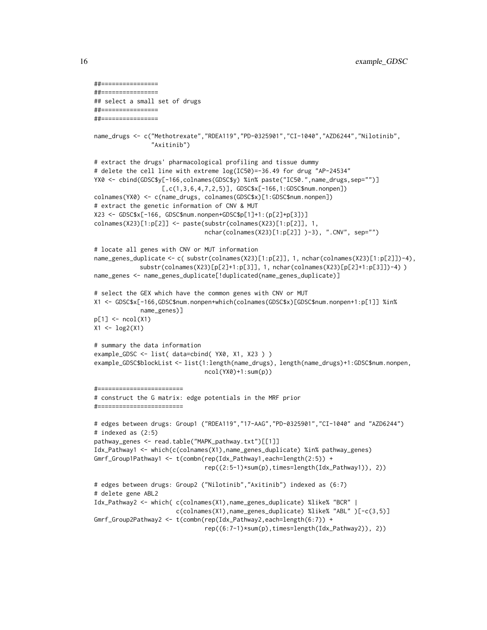```
##================
##================
## select a small set of drugs
##================
##================
name_drugs <- c("Methotrexate","RDEA119","PD-0325901","CI-1040","AZD6244","Nilotinib",
                "Axitinib")
# extract the drugs' pharmacological profiling and tissue dummy
# delete the cell line with extreme log(IC50)=-36.49 for drug "AP-24534"
YX0 <- cbind(GDSC$y[-166,colnames(GDSC$y) %in% paste("IC50.",name_drugs,sep="")]
                   [,c(1,3,6,4,7,2,5)], GDSC$x[-166,1:GDSC$num.nonpen])colnames(YX0) <- c(name_drugs, colnames(GDSC$x)[1:GDSC$num.nonpen])
# extract the genetic information of CNV & MUT
X23 <- GDSC$x[-166, GDSC$num.nonpen+GDSC$p[1]+1:(p[2]+p[3])]
colnames(X23)[1:p[2]] <- paste(substr(colnames(X23)[1:p[2]], 1,
                               nchar(colnames(X23)[1:p[2]] )-3), ".CNV", sep="")
# locate all genes with CNV or MUT information
name_genes_duplicate <- c( substr(colnames(X23)[1:p[2]], 1, nchar(colnames(X23)[1:p[2]])-4),
             substr(colnames(X23)[p[2]+1:p[3]], 1, nchar(colnames(X23)[p[2]+1:p[3]])-4) )
name_genes <- name_genes_duplicate[!duplicated(name_genes_duplicate)]
# select the GEX which have the common genes with CNV or MUT
X1 <- GDSC$x[-166,GDSC$num.nonpen+which(colnames(GDSC$x)[GDSC$num.nonpen+1:p[1]] %in%
             name_genes)]
p[1] <- ncol(X1)X1 <- log2(X1)
# summary the data information
example_GDSC <- list( data=cbind( YX0, X1, X23 ) )
example_GDSC$blockList <- list(1:length(name_drugs), length(name_drugs)+1:GDSC$num.nonpen,
                               ncol(YX0)+1:sum(p))
#========================
# construct the G matrix: edge potentials in the MRF prior
#========================
# edges between drugs: Group1 ("RDEA119","17-AAG","PD-0325901","CI-1040" and "AZD6244")
# indexed as (2:5)
pathway_genes <- read.table("MAPK_pathway.txt")[[1]]
Idx_Pathway1 <- which(c(colnames(X1),name_genes_duplicate) %in% pathway_genes)
Gmrf_Group1Pathway1 <- t(combn(rep(Idx_Pathway1,each=length(2:5)) +
                               rep((2:5-1)*sum(p),times=length(Idx_Pathway1)), 2))
# edges between drugs: Group2 ("Nilotinib","Axitinib") indexed as (6:7)
# delete gene ABL2
Idx_Pathway2 <- which( c(colnames(X1),name_genes_duplicate) %like% "BCR" |
                       c(colnames(X1),name_genes_duplicate) %like% "ABL" )[-c(3,5)]
Gmrf_Group2Pathway2 <- t(combn(rep(Idx_Pathway2,each=length(6:7)) +
                               rep((6:7-1)*sum(p),times=length(Idx_Pathway2)), 2))
```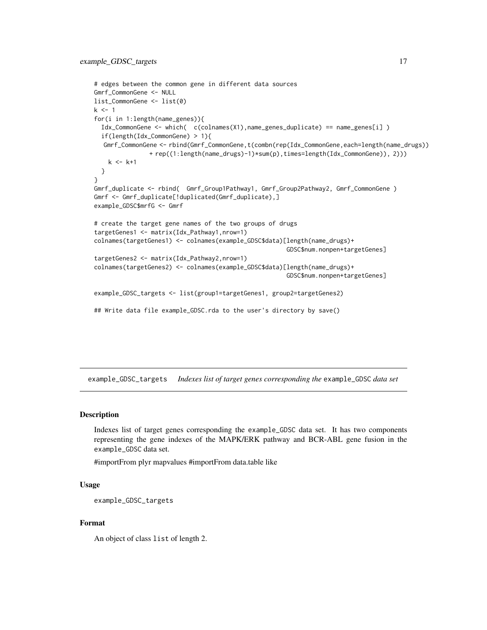```
# edges between the common gene in different data sources
Gmrf_CommonGene <- NULL
list_CommonGene <- list(0)
k < -1for(i in 1:length(name_genes)){
  Idx_CommonGene <- which( c(colnames(X1),name_genes_duplicate) == name_genes[i] )
  if(length(Idx_CommonGene) > 1){
  Gmrf_CommonGene <- rbind(Gmrf_CommonGene,t(combn(rep(Idx_CommonGene,each=length(name_drugs))
               + rep((1:length(name_drugs)-1)*sum(p),times=length(Idx_CommonGene)), 2)))
   k < - k+1}
}
Gmrf_duplicate <- rbind( Gmrf_Group1Pathway1, Gmrf_Group2Pathway2, Gmrf_CommonGene )
Gmrf <- Gmrf_duplicate[!duplicated(Gmrf_duplicate),]
example_GDSC$mrfG <- Gmrf
# create the target gene names of the two groups of drugs
targetGenes1 <- matrix(Idx_Pathway1,nrow=1)
colnames(targetGenes1) <- colnames(example_GDSC$data)[length(name_drugs)+
                                                      GDSC$num.nonpen+targetGenes]
targetGenes2 <- matrix(Idx_Pathway2,nrow=1)
colnames(targetGenes2) <- colnames(example_GDSC$data)[length(name_drugs)+
                                                      GDSC$num.nonpen+targetGenes]
example_GDSC_targets <- list(group1=targetGenes1, group2=targetGenes2)
## Write data file example_GDSC.rda to the user's directory by save()
```
example\_GDSC\_targets *Indexes list of target genes corresponding the* example\_GDSC *data set*

#### Description

Indexes list of target genes corresponding the example\_GDSC data set. It has two components representing the gene indexes of the MAPK/ERK pathway and BCR-ABL gene fusion in the example\_GDSC data set.

#importFrom plyr mapvalues #importFrom data.table like

#### Usage

```
example_GDSC_targets
```
### Format

An object of class list of length 2.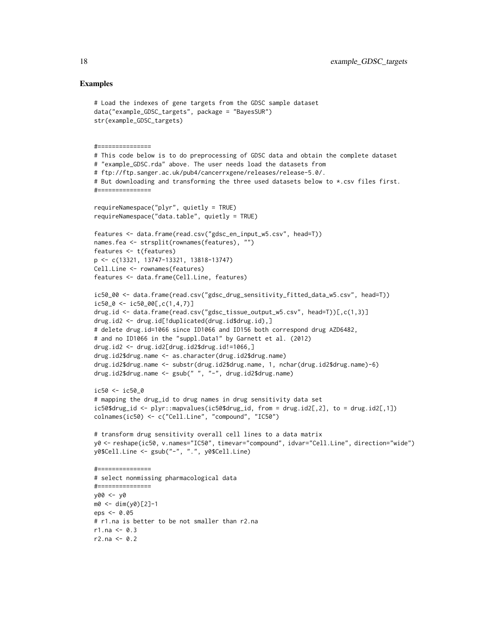```
# Load the indexes of gene targets from the GDSC sample dataset
data("example_GDSC_targets", package = "BayesSUR")
str(example_GDSC_targets)
#===============
# This code below is to do preprocessing of GDSC data and obtain the complete dataset
# "example_GDSC.rda" above. The user needs load the datasets from
# ftp://ftp.sanger.ac.uk/pub4/cancerrxgene/releases/release-5.0/.
# But downloading and transforming the three used datasets below to *.csv files first.
#===============
requireNamespace("plyr", quietly = TRUE)
requireNamespace("data.table", quietly = TRUE)
features <- data.frame(read.csv("gdsc_en_input_w5.csv", head=T))
names.fea <- strsplit(rownames(features), "")
features <- t(features)
p <- c(13321, 13747-13321, 13818-13747)
Cell.Line <- rownames(features)
features <- data.frame(Cell.Line, features)
ic50_00 <- data.frame(read.csv("gdsc_drug_sensitivity_fitted_data_w5.csv", head=T))
ic50_0 \leftarrow ic50_00[,c(1,4,7)]drug.id <- data.frame(read.csv("gdsc_tissue_output_w5.csv", head=T))[,c(1,3)]
drug.id2 <- drug.id[!duplicated(drug.id$drug.id),]
# delete drug.id=1066 since ID1066 and ID156 both correspond drug AZD6482,
# and no ID1066 in the "suppl.Data1" by Garnett et al. (2012)
drug.id2 <- drug.id2[drug.id2$drug.id!=1066,]
drug.id2$drug.name <- as.character(drug.id2$drug.name)
drug.id2$drug.name <- substr(drug.id2$drug.name, 1, nchar(drug.id2$drug.name)-6)
drug.id2$drug.name <- gsub(" ", "-", drug.id2$drug.name)
ic50 <- ic50_0
# mapping the drug_id to drug names in drug sensitivity data set
ic50$drug_id <- plyr::mapvalues(ic50$drug_id, from = drug.id2[,2], to = drug.id2[,1])
colnames(ic50) <- c("Cell.Line", "compound", "IC50")
# transform drug sensitivity overall cell lines to a data matrix
y0 <- reshape(ic50, v.names="IC50", timevar="compound", idvar="Cell.Line", direction="wide")
y0$Cell.Line <- gsub("-", ".", y0$Cell.Line)
#===============
# select nonmissing pharmacological data
#===============
y00 <- y0
m0 <- dim(y0)[2]-1
eps < -0.05# r1.na is better to be not smaller than r2.na
r1.na < -0.3r2.na < -0.2
```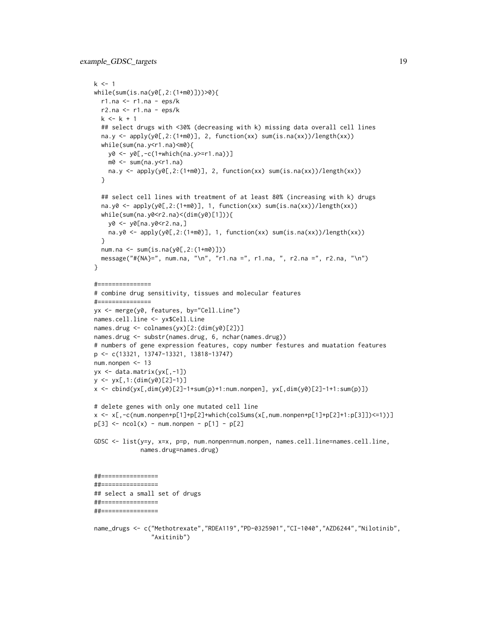```
k < -1while(sum(is.na(y0[,2:(1+m0)]))>0){
  r1.na <- r1.na - eps/k
  r2.na \le r1.na - eps/kk < -k + 1## select drugs with <30% (decreasing with k) missing data overall cell lines
  na.y <- apply(y0[,2:(1+m0)], 2, function(xx) sum(is.na(xx))/length(xx))
  while(sum(na.y<r1.na)<m0){
   y0 <- y0[,-c(1+which(na.y>=r1.na))]
   m0 <- sum(na.y<r1.na)
   na.y <- apply(y0[,2:(1+m0)], 2, function(xx) sum(is.na(xx))/length(xx))
  }
  ## select cell lines with treatment of at least 80% (increasing with k) drugs
  na.y0 <- apply(y0[,2:(1+m0)], 1, function(xx) sum(is.na(xx))/length(xx))while(sum(na.y0<r2.na)<(dim(y0)[1])){
   y0 <- y0[na.y0<r2.na,]
   na.y0 <- apply(y0[,2:(1+m0)], 1, function(xx) sum(is.na(xx))/length(xx))
  }
  num.na <- sum(is.na(y0[,2:(1+m0)]))
  message("#{NA}=", num.na, "\n", "r1.na =", r1.na, ", r2.na =", r2.na, "\n")
}
#===============
# combine drug sensitivity, tissues and molecular features
#===============
yx <- merge(y0, features, by="Cell.Line")
names.cell.line <- yx$Cell.Line
names.drug <- colnames(yx)[2:(dim(y0)[2])]
names.drug <- substr(names.drug, 6, nchar(names.drug))
# numbers of gene expression features, copy number festures and muatation features
p <- c(13321, 13747-13321, 13818-13747)
num.nonpen <- 13
yx <- data.matrix(yx[,-1])
y <- yx[,1:(dim(y0)[2]-1)]
x <- cbind(yx[,dim(y0)[2]-1+sum(p)+1:num.nonpen], yx[,dim(y0)[2]-1+1:sum(p)])
# delete genes with only one mutated cell line
x <- x[,-c(num.nonpen+p[1]+p[2]+which(colSums(x[,num.nonpen+p[1]+p[2]+1:p[3]])<=1))]
p[3] <- ncol(x) - num.nonpen - p[1] - p[2]GDSC <- list(y=y, x=x, p=p, num.nonpen=num.nonpen, names.cell.line=names.cell.line,
             names.drug=names.drug)
##================
##================
## select a small set of drugs
##================
##================
```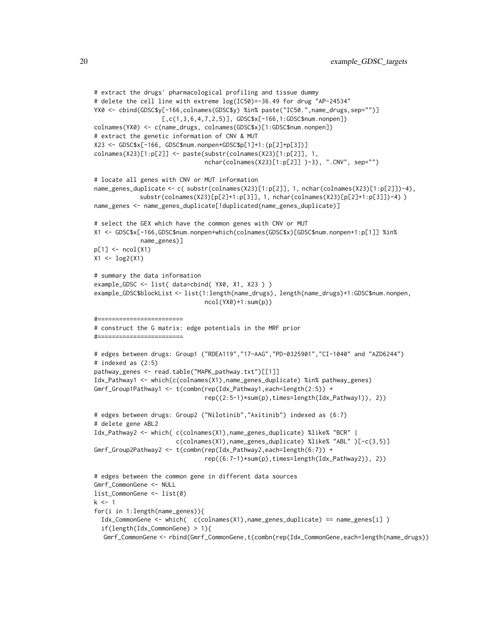```
# extract the drugs' pharmacological profiling and tissue dummy
# delete the cell line with extreme log(IC50)=-36.49 for drug "AP-24534"
YX0 <- cbind(GDSC$y[-166,colnames(GDSC$y) %in% paste("IC50.",name_drugs,sep="")]
                   [,c(1,3,6,4,7,2,5)], GDSC$x[-166,1:GDSC$num.nonpen])colnames(YX0) <- c(name_drugs, colnames(GDSC$x)[1:GDSC$num.nonpen])
# extract the genetic information of CNV & MUT
X23 <- GDSC$x[-166, GDSC$num.nonpen+GDSC$p[1]+1:(p[2]+p[3])]
colnames(X23)[1:p[2]] <- paste(substr(colnames(X23)[1:p[2]], 1,
                               nchar(colnames(X23)[1:p[2]] )-3), ".CNV", sep="")
# locate all genes with CNV or MUT information
name_genes_duplicate <- c( substr(colnames(X23)[1:p[2]], 1, nchar(colnames(X23)[1:p[2]])-4),
             substr(colnames(X23)[p[2]+1:p[3]], 1, nchar(colnames(X23)[p[2]+1:p[3]])-4) )
name_genes <- name_genes_duplicate[!duplicated(name_genes_duplicate)]
# select the GEX which have the common genes with CNV or MUT
X1 <- GDSC$x[-166,GDSC$num.nonpen+which(colnames(GDSC$x)[GDSC$num.nonpen+1:p[1]] %in%
             name_genes)]
p[1] <- ncol(X1)X1 <- log2(X1)
# summary the data information
example_GDSC <- list( data=cbind( YX0, X1, X23 ) )
example_GDSC$blockList <- list(1:length(name_drugs), length(name_drugs)+1:GDSC$num.nonpen,
                               ncol(YX0)+1:sum(p))
#========================
# construct the G matrix: edge potentials in the MRF prior
#========================
# edges between drugs: Group1 ("RDEA119","17-AAG","PD-0325901","CI-1040" and "AZD6244")
# indexed as (2:5)
pathway_genes <- read.table("MAPK_pathway.txt")[[1]]
Idx_Pathway1 <- which(c(colnames(X1),name_genes_duplicate) %in% pathway_genes)
Gmrf_Group1Pathway1 <- t(combn(rep(Idx_Pathway1,each=length(2:5)) +
                               rep((2:5-1)*sum(p),times=length(Idx_Pathway1)), 2))
# edges between drugs: Group2 ("Nilotinib","Axitinib") indexed as (6:7)
# delete gene ABL2
Idx_Pathway2 <- which( c(colnames(X1),name_genes_duplicate) %like% "BCR" |
                       c(colnames(X1),name_genes_duplicate) %like% "ABL" )[-c(3,5)]
Gmrf_Group2Pathway2 <- t(combn(rep(Idx_Pathway2,each=length(6:7)) +
                               rep((6:7-1)*sum(p),times=length(Idx_Pathway2)), 2))
# edges between the common gene in different data sources
Gmrf_CommonGene <- NULL
list_CommonGene <- list(0)
k < -1for(i in 1:length(name_genes)){
 Idx_CommonGene <- which( c(colnames(X1),name_genes_duplicate) == name_genes[i] )
  if(length(Idx_CommonGene) > 1){
  Gmrf_CommonGene <- rbind(Gmrf_CommonGene,t(combn(rep(Idx_CommonGene,each=length(name_drugs))
```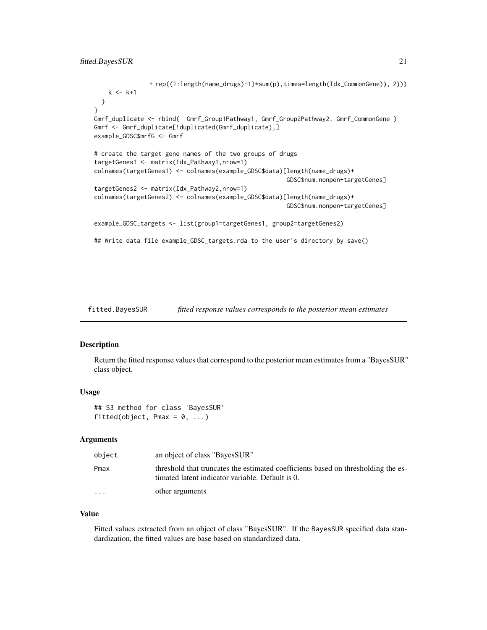# <span id="page-20-0"></span>fitted.BayesSUR 21

```
+ rep((1:length(name_drugs)-1)*sum(p),times=length(Idx_CommonGene)), 2)))
   k \le -k+1}
}
Gmrf_duplicate <- rbind( Gmrf_Group1Pathway1, Gmrf_Group2Pathway2, Gmrf_CommonGene )
Gmrf <- Gmrf_duplicate[!duplicated(Gmrf_duplicate),]
example_GDSC$mrfG <- Gmrf
# create the target gene names of the two groups of drugs
targetGenes1 <- matrix(Idx_Pathway1,nrow=1)
colnames(targetGenes1) <- colnames(example_GDSC$data)[length(name_drugs)+
                                                      GDSC$num.nonpen+targetGenes]
targetGenes2 <- matrix(Idx_Pathway2,nrow=1)
colnames(targetGenes2) <- colnames(example_GDSC$data)[length(name_drugs)+
                                                      GDSC$num.nonpen+targetGenes]
example_GDSC_targets <- list(group1=targetGenes1, group2=targetGenes2)
## Write data file example_GDSC_targets.rda to the user's directory by save()
```
fitted.BayesSUR *fitted response values corresponds to the posterior mean estimates*

#### Description

Return the fitted response values that correspond to the posterior mean estimates from a "BayesSUR" class object.

#### Usage

## S3 method for class 'BayesSUR' fitted(object, Pmax =  $0, ...$ )

#### Arguments

| object   | an object of class "BayesSUR"                                                                                                         |
|----------|---------------------------------------------------------------------------------------------------------------------------------------|
| Pmax     | threshold that truncates the estimated coefficients based on thresholding the es-<br>timated latent indicator variable. Default is 0. |
| $\cdots$ | other arguments                                                                                                                       |

### Value

Fitted values extracted from an object of class "BayesSUR". If the BayesSUR specified data standardization, the fitted values are base based on standardized data.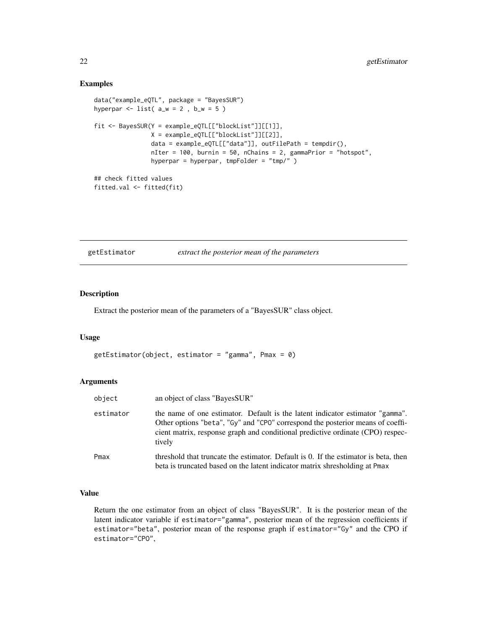#### Examples

```
data("example_eQTL", package = "BayesSUR")
hyperpar \le list( a_w = 2, b_w = 5)
fit <- BayesSUR(Y = example_eQTL[["blockList"]][[1]],
               X = example_eQTL[["blockList"]][[2]],
                data = example_eQTL[["data"]], outFilePath = tempdir(),
                nIter = 100, burnin = 50, nChains = 2, gammaPrior = "hotspot",
                hyperpar = hyperpar, tmpFolder = "tmp/" )
## check fitted values
fitted.val <- fitted(fit)
```
getEstimator *extract the posterior mean of the parameters*

#### Description

Extract the posterior mean of the parameters of a "BayesSUR" class object.

#### Usage

```
getEstimator(object, estimator = "gamma", Pmax = 0)
```
#### Arguments

| object    | an object of class "BayesSUR"                                                                                                                                                                                                                               |
|-----------|-------------------------------------------------------------------------------------------------------------------------------------------------------------------------------------------------------------------------------------------------------------|
| estimator | the name of one estimator. Default is the latent indicator estimator "gamma".<br>Other options "beta", "Gy" and "CPO" correspond the posterior means of coeffi-<br>cient matrix, response graph and conditional predictive ordinate (CPO) respec-<br>tively |
| Pmax      | threshold that truncate the estimator. Default is 0. If the estimator is beta, then<br>beta is truncated based on the latent indicator matrix shresholding at Pmax                                                                                          |

#### Value

Return the one estimator from an object of class "BayesSUR". It is the posterior mean of the latent indicator variable if estimator="gamma", posterior mean of the regression coefficients if estimator="beta", posterior mean of the response graph if estimator="Gy" and the CPO if estimator="CPO",

<span id="page-21-0"></span>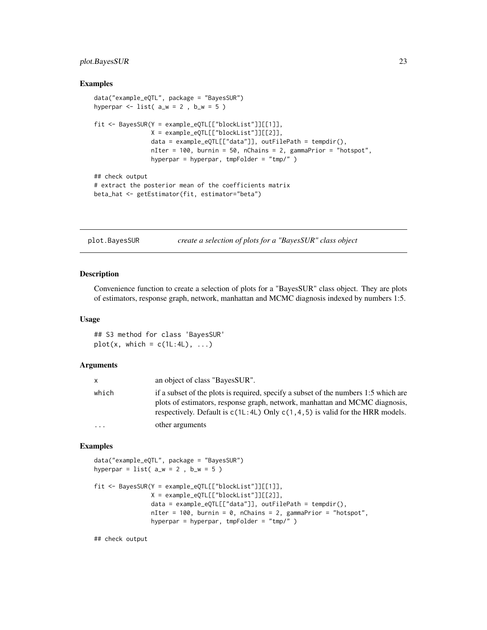# <span id="page-22-0"></span>plot.BayesSUR 23

#### Examples

```
data("example_eQTL", package = "BayesSUR")
hyperpar \le list( a_w = 2, b_w = 5)
fit <- BayesSUR(Y = example_eQTL[["blockList"]][[1]],
                X = example_eQTL[["blockList"]][[2]],
                data = example_eQTL[["data"]], outFilePath = tempdir(),
                nIter = 100, burnin = 50, nChains = 2, gammaPrior = "hotspot",
                hyperpar = hyperpar, tmpFolder = "tmp/" )
## check output
# extract the posterior mean of the coefficients matrix
beta_hat <- getEstimator(fit, estimator="beta")
```
plot.BayesSUR *create a selection of plots for a "BayesSUR" class object*

#### Description

Convenience function to create a selection of plots for a "BayesSUR" class object. They are plots of estimators, response graph, network, manhattan and MCMC diagnosis indexed by numbers 1:5.

#### Usage

## S3 method for class 'BayesSUR'  $plot(x, which = c(1L:4L), ...)$ 

#### Arguments

| x.        | an object of class "BayesSUR".                                                                                                                                                                                                                         |
|-----------|--------------------------------------------------------------------------------------------------------------------------------------------------------------------------------------------------------------------------------------------------------|
| which     | if a subset of the plots is required, specify a subset of the numbers 1:5 which are<br>plots of estimators, response graph, network, manhattan and MCMC diagnosis,<br>respectively. Default is $c(1L:4L)$ Only $c(1,4,5)$ is valid for the HRR models. |
| $\ddotsc$ | other arguments                                                                                                                                                                                                                                        |

# Examples

```
data("example_eQTL", package = "BayesSUR")
hyperpar = list(a_w = 2, b_w = 5)
fit <- BayesSUR(Y = example_eQTL[["blockList"]][[1]],
               X = example_eQTL[["blockList"]][[2]],
               data = example_eQTL[["data"]], outFilePath = tempdir(),
               nIter = 100, burnin = 0, nChains = 2, gammaPrior = "hotspot",
               hyperpar = hyperpar, tmpFolder = "tmp/" )
```
## check output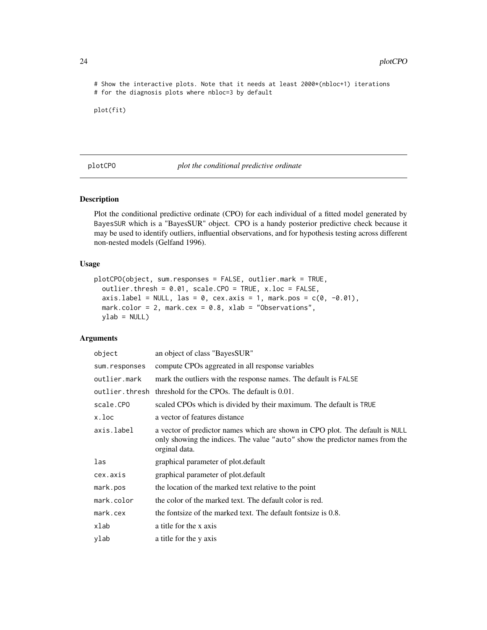<span id="page-23-0"></span># Show the interactive plots. Note that it needs at least 2000\*(nbloc+1) iterations # for the diagnosis plots where nbloc=3 by default

plot(fit)

plotCPO *plot the conditional predictive ordinate*

#### Description

Plot the conditional predictive ordinate (CPO) for each individual of a fitted model generated by BayesSUR which is a "BayesSUR" object. CPO is a handy posterior predictive check because it may be used to identify outliers, influential observations, and for hypothesis testing across different non-nested models (Gelfand 1996).

#### Usage

```
plotCPO(object, sum.responses = FALSE, outlier.mark = TRUE,
 outlier.thresh = 0.01, scale.CPO = TRUE, x.loc = FALSE,
  axis.label = NULL, las = 0, cex.axis = 1, mark.pos = c(0, -0.01),
 mark.color = 2, mark.cex = 0.8, xlab = "Observations",
 ylab = NULL)
```
#### Arguments

| object        | an object of class "BayesSUR"                                                                                                                                                 |
|---------------|-------------------------------------------------------------------------------------------------------------------------------------------------------------------------------|
| sum.responses | compute CPOs aggreated in all response variables                                                                                                                              |
| outlier.mark  | mark the outliers with the response names. The default is FALSE                                                                                                               |
|               | outlier, thresh threshold for the CPOs. The default is 0.01.                                                                                                                  |
| scale.CPO     | scaled CPOs which is divided by their maximum. The default is TRUE                                                                                                            |
| x.loc         | a vector of features distance                                                                                                                                                 |
| axis.label    | a vector of predictor names which are shown in CPO plot. The default is NULL<br>only showing the indices. The value "auto" show the predictor names from the<br>orginal data. |
| las           | graphical parameter of plot. default                                                                                                                                          |
| cex.axis      | graphical parameter of plot.default                                                                                                                                           |
| mark.pos      | the location of the marked text relative to the point                                                                                                                         |
| mark.color    | the color of the marked text. The default color is red.                                                                                                                       |
| mark. cex     | the fontsize of the marked text. The default fontsize is $0.8$ .                                                                                                              |
| xlab          | a title for the x axis                                                                                                                                                        |
| ylab          | a title for the y axis                                                                                                                                                        |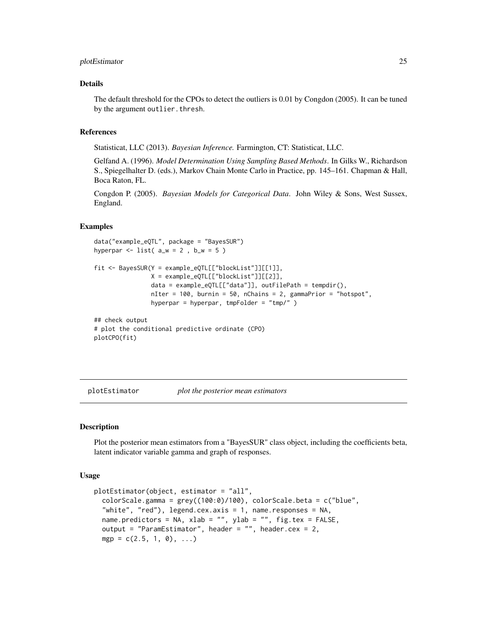#### <span id="page-24-0"></span>plotEstimator 25

### Details

The default threshold for the CPOs to detect the outliers is 0.01 by Congdon (2005). It can be tuned by the argument outlier.thresh.

#### References

Statisticat, LLC (2013). *Bayesian Inference.* Farmington, CT: Statisticat, LLC.

Gelfand A. (1996). *Model Determination Using Sampling Based Methods*. In Gilks W., Richardson S., Spiegelhalter D. (eds.), Markov Chain Monte Carlo in Practice, pp. 145–161. Chapman & Hall, Boca Raton, FL.

Congdon P. (2005). *Bayesian Models for Categorical Data*. John Wiley & Sons, West Sussex, England.

#### Examples

```
data("example_eQTL", package = "BayesSUR")
hyperpar \le list( a_w = 2, b_w = 5)
fit <- BayesSUR(Y = example_eQTL[["blockList"]][[1]],
               X = example_eQTL[["blockList"]][[2]],
                data = example_eQTL[["data"]], outFilePath = tempdir(),
                nIter = 100, burnin = 50, nChains = 2, gammaPrior = "hotspot",
                hyperpar = hyperpar, tmpFolder = "tmp/" )
## check output
# plot the conditional predictive ordinate (CPO)
plotCPO(fit)
```
plotEstimator *plot the posterior mean estimators*

# Description

Plot the posterior mean estimators from a "BayesSUR" class object, including the coefficients beta, latent indicator variable gamma and graph of responses.

#### Usage

```
plotEstimator(object, estimator = "all",
  colorScale.gamma = grey((100:0)/100), colorScale.beta = c("blue",
  "white", "red"), legend.cex.axis = 1, name.responses = NA,
 name.predictors = NA, xlab = "", ylab = "", fig.tex = FALSE,
 output = "ParamEstimator", header = "", header.cex = 2,
 mgp = c(2.5, 1, 0), ...
```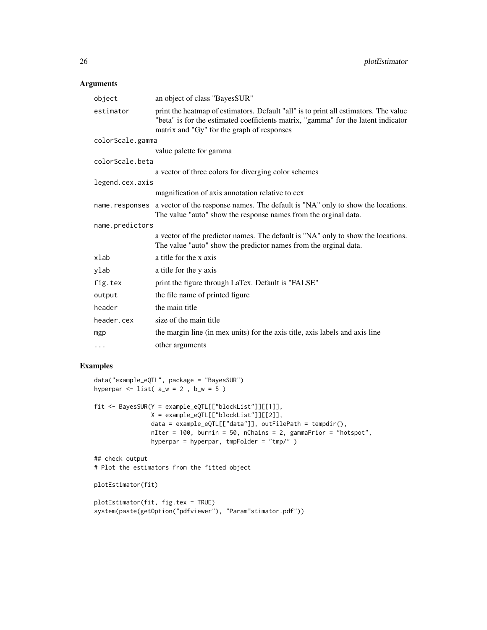# Arguments

| object           | an object of class "BayesSUR"                                                                                                                                                                                           |
|------------------|-------------------------------------------------------------------------------------------------------------------------------------------------------------------------------------------------------------------------|
| estimator        | print the heatmap of estimators. Default "all" is to print all estimators. The value<br>"beta" is for the estimated coefficients matrix, "gamma" for the latent indicator<br>matrix and "Gy" for the graph of responses |
| colorScale.gamma |                                                                                                                                                                                                                         |
|                  | value palette for gamma                                                                                                                                                                                                 |
| colorScale.beta  |                                                                                                                                                                                                                         |
|                  | a vector of three colors for diverging color schemes                                                                                                                                                                    |
| legend.cex.axis  |                                                                                                                                                                                                                         |
|                  | magnification of axis annotation relative to cex                                                                                                                                                                        |
| name.responses   | a vector of the response names. The default is "NA" only to show the locations.<br>The value "auto" show the response names from the orginal data.                                                                      |
| name.predictors  |                                                                                                                                                                                                                         |
|                  | a vector of the predictor names. The default is "NA" only to show the locations.<br>The value "auto" show the predictor names from the orginal data.                                                                    |
| xlab             | a title for the x axis                                                                                                                                                                                                  |
| ylab             | a title for the y axis                                                                                                                                                                                                  |
| fig.tex          | print the figure through LaTex. Default is "FALSE"                                                                                                                                                                      |
| output           | the file name of printed figure                                                                                                                                                                                         |
| header           | the main title                                                                                                                                                                                                          |
| header.cex       | size of the main title                                                                                                                                                                                                  |
| mgp              | the margin line (in mex units) for the axis title, axis labels and axis line                                                                                                                                            |
| $\cdots$         | other arguments                                                                                                                                                                                                         |

```
data("example_eQTL", package = "BayesSUR")
hyperpar \le list( a_w = 2, b_w = 5)
fit <- BayesSUR(Y = example_eQTL[["blockList"]][[1]],
               X = example_eQTL[["blockList"]][[2]],
                data = example_eQTL[["data"]], outFilePath = tempdir(),
                nIter = 100, burnin = 50, nChains = 2, gammaPrior = "hotspot",
               hyperpar = hyperpar, tmpFolder = "tmp/" )
## check output
# Plot the estimators from the fitted object
plotEstimator(fit)
plotEstimator(fit, fig.tex = TRUE)
system(paste(getOption("pdfviewer"), "ParamEstimator.pdf"))
```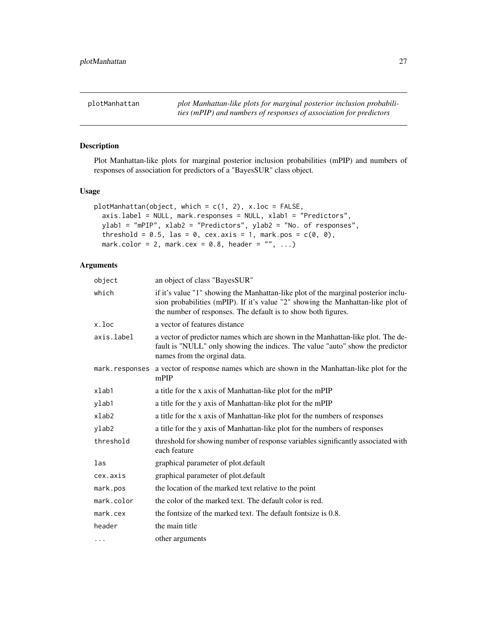<span id="page-26-0"></span>plotManhattan *plot Manhattan-like plots for marginal posterior inclusion probabilities (mPIP) and numbers of responses of association for predictors*

# Description

Plot Manhattan-like plots for marginal posterior inclusion probabilities (mPIP) and numbers of responses of association for predictors of a "BayesSUR" class object.

#### Usage

```
plotManhattan(object, which = c(1, 2), x.loc = FALSE,
  axis.label = NULL, mark.responses = NULL, xlab1 = "Predictors",
  ylab1 = "mPIP", xlab2 = "Predictors", ylab2 = "No. of responses",
  threshold = 0.5, las = 0, cex.axis = 1, mark.pos = c(0, 0),
  mark.color = 2, mark.cex = 0.8, header = ", ...)
```
# Arguments

| object     | an object of class "BayesSUR"                                                                                                                                                                                                          |
|------------|----------------------------------------------------------------------------------------------------------------------------------------------------------------------------------------------------------------------------------------|
| which      | if it's value "1" showing the Manhattan-like plot of the marginal posterior inclu-<br>sion probabilities (mPIP). If it's value "2" showing the Manhattan-like plot of<br>the number of responses. The default is to show both figures. |
| x.loc      | a vector of features distance                                                                                                                                                                                                          |
| axis.label | a vector of predictor names which are shown in the Manhattan-like plot. The de-<br>fault is "NULL" only showing the indices. The value "auto" show the predictor<br>names from the orginal data.                                       |
|            | mark. responses a vector of response names which are shown in the Manhattan-like plot for the<br>mPIP                                                                                                                                  |
| xlab1      | a title for the x axis of Manhattan-like plot for the mPIP                                                                                                                                                                             |
| ylab1      | a title for the y axis of Manhattan-like plot for the mPIP                                                                                                                                                                             |
| xlab2      | a title for the x axis of Manhattan-like plot for the numbers of responses                                                                                                                                                             |
| ylab2      | a title for the y axis of Manhattan-like plot for the numbers of responses                                                                                                                                                             |
| threshold  | threshold for showing number of response variables significantly associated with<br>each feature                                                                                                                                       |
| las        | graphical parameter of plot.default                                                                                                                                                                                                    |
| cex.axis   | graphical parameter of plot.default                                                                                                                                                                                                    |
| mark.pos   | the location of the marked text relative to the point                                                                                                                                                                                  |
| mark.color | the color of the marked text. The default color is red.                                                                                                                                                                                |
| mark.cex   | the fontsize of the marked text. The default fontsize is 0.8.                                                                                                                                                                          |
| header     | the main title                                                                                                                                                                                                                         |
| .          | other arguments                                                                                                                                                                                                                        |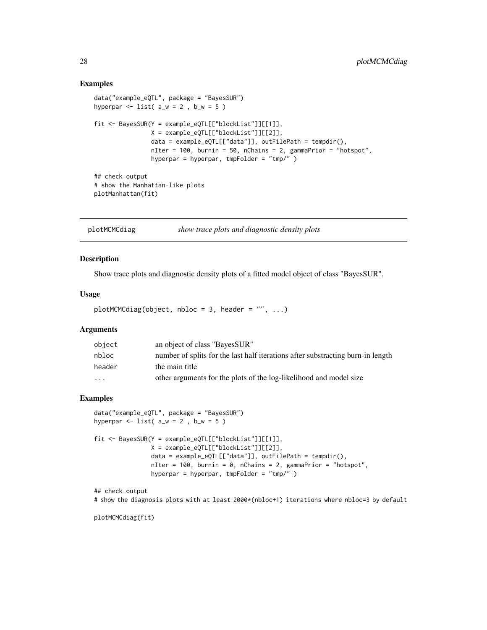#### Examples

```
data("example_eQTL", package = "BayesSUR")
hyperpar \le list( a_w = 2, b_w = 5)
fit <- BayesSUR(Y = example_eQTL[["blockList"]][[1]],
                X = example_eQTL[["blockList"]][[2]],
                data = example_eQTL[["data"]], outFilePath = tempdir(),
                nIter = 100, burnin = 50, nChains = 2, gammaPrior = "hotspot",
                hyperpar = hyperpar, tmpFolder = "tmp/" )
## check output
# show the Manhattan-like plots
plotManhattan(fit)
```
plotMCMCdiag *show trace plots and diagnostic density plots*

# Description

Show trace plots and diagnostic density plots of a fitted model object of class "BayesSUR".

#### Usage

```
plotMCMCdiag(object, nbloc = 3, header = "", ...)
```
# Arguments

| object   | an object of class "BayesSUR"                                                   |
|----------|---------------------------------------------------------------------------------|
| nbloc    | number of splits for the last half iterations after substracting burn-in length |
| header   | the main title                                                                  |
| $\cdots$ | other arguments for the plots of the log-likelihood and model size              |

#### Examples

```
data("example_eQTL", package = "BayesSUR")
hyperpar \le list( a_w = 2, b_w = 5)
fit <- BayesSUR(Y = example_eQTL[["blockList"]][[1]],
                X = example_eQTL[["blockList"]][[2]],
                data = example_eQTL[["data"]], outFilePath = tempdir(),
                nIter = 100, burnin = 0, nChains = 2, gammaPrior = "hotspot",
                hyperpar = hyperpar, tmpFolder = "tmp/" )
```
## check output

# show the diagnosis plots with at least 2000\*(nbloc+1) iterations where nbloc=3 by default

plotMCMCdiag(fit)

<span id="page-27-0"></span>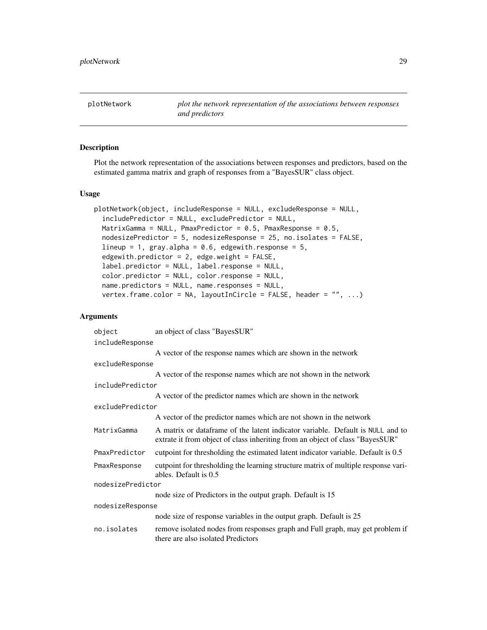<span id="page-28-0"></span>plotNetwork *plot the network representation of the associations between responses and predictors*

#### Description

Plot the network representation of the associations between responses and predictors, based on the estimated gamma matrix and graph of responses from a "BayesSUR" class object.

### Usage

```
plotNetwork(object, includeResponse = NULL, excludeResponse = NULL,
  includePredictor = NULL, excludePredictor = NULL,
 MatrixGamma = NULL, PmaxPredictor = 0.5, PmaxResponse = 0.5,
 nodesizePredictor = 5, nodesizeResponse = 25, no.isolates = FALSE,
  lineup = 1, gray.alpha = 0.6, edgewith.response = 5,
  edgewith.predictor = 2, edge.weight = FALSE,
  label.predictor = NULL, label.response = NULL,
  color.predictor = NULL, color.response = NULL,
  name.predictors = NULL, name.responses = NULL,
  vertex.frame.color = NA, layoutInCircle = FALSE, header = ", ...)
```
#### Arguments

| object            | an object of class "BayesSUR"                                                                                                                                   |
|-------------------|-----------------------------------------------------------------------------------------------------------------------------------------------------------------|
| includeResponse   |                                                                                                                                                                 |
|                   | A vector of the response names which are shown in the network                                                                                                   |
| excludeResponse   |                                                                                                                                                                 |
|                   | A vector of the response names which are not shown in the network                                                                                               |
| includePredictor  |                                                                                                                                                                 |
|                   | A vector of the predictor names which are shown in the network                                                                                                  |
| excludePredictor  |                                                                                                                                                                 |
|                   | A vector of the predictor names which are not shown in the network                                                                                              |
| MatrixGamma       | A matrix or dataframe of the latent indicator variable. Default is NULL and to<br>extrate it from object of class inheriting from an object of class "BayesSUR" |
| PmaxPredictor     | cutpoint for thresholding the estimated latent indicator variable. Default is 0.5                                                                               |
| PmaxResponse      | cutpoint for thresholding the learning structure matrix of multiple response vari-<br>ables. Default is 0.5                                                     |
| nodesizePredictor |                                                                                                                                                                 |
|                   | node size of Predictors in the output graph. Default is 15                                                                                                      |
| nodesizeResponse  |                                                                                                                                                                 |
|                   | node size of response variables in the output graph. Default is 25                                                                                              |
| no.isolates       | remove isolated nodes from responses graph and Full graph, may get problem if<br>there are also isolated Predictors                                             |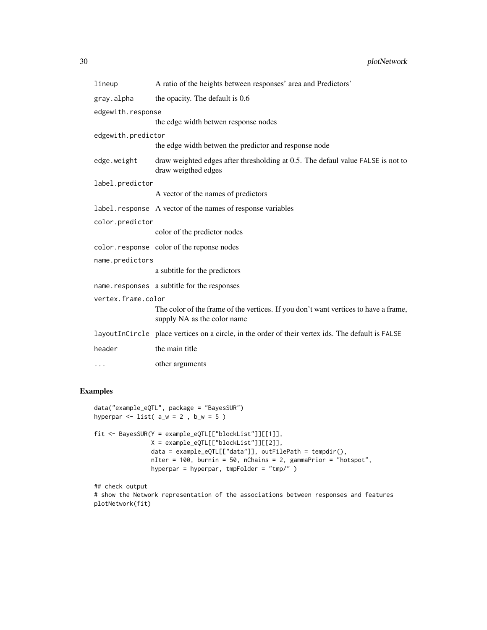| lineup             | A ratio of the heights between responses' area and Predictors'                                                     |
|--------------------|--------------------------------------------------------------------------------------------------------------------|
| gray.alpha         | the opacity. The default is 0.6                                                                                    |
| edgewith.response  |                                                                                                                    |
|                    | the edge width betwen response nodes                                                                               |
| edgewith.predictor |                                                                                                                    |
|                    | the edge width betwen the predictor and response node                                                              |
| edge.weight        | draw weighted edges after thresholding at 0.5. The defaul value FALSE is not to<br>draw weigthed edges             |
| label.predictor    |                                                                                                                    |
|                    | A vector of the names of predictors                                                                                |
|                    | label.response A vector of the names of response variables                                                         |
| color.predictor    |                                                                                                                    |
|                    | color of the predictor nodes                                                                                       |
|                    | color.response color of the reponse nodes                                                                          |
| name.predictors    |                                                                                                                    |
|                    | a subtitle for the predictors                                                                                      |
|                    | name.responses a subtitle for the responses                                                                        |
| vertex.frame.color |                                                                                                                    |
|                    | The color of the frame of the vertices. If you don't want vertices to have a frame,<br>supply NA as the color name |
|                    | layout InCircle place vertices on a circle, in the order of their vertex ids. The default is FALSE                 |
| header             | the main title                                                                                                     |
| $\cdots$           | other arguments                                                                                                    |

```
data("example_eQTL", package = "BayesSUR")
hyperpar \le list( a_w = 2, b_w = 5)
fit <- BayesSUR(Y = example_eQTL[["blockList"]][[1]],
               X = example_eQTL[["blockList"]][[2]],
               data = example_eQTL[["data"]], outFilePath = tempdir(),
               nIter = 100, burnin = 50, nChains = 2, gammaPrior = "hotspot",
               hyperpar = hyperpar, tmpFolder = "tmp/" )
```

```
## check output
# show the Network representation of the associations between responses and features
plotNetwork(fit)
```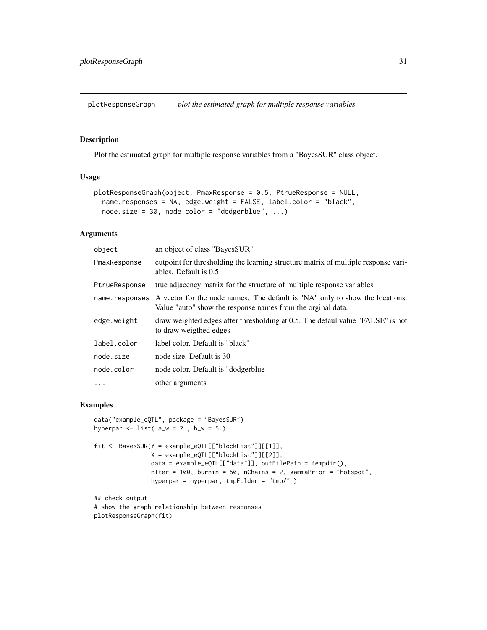<span id="page-30-0"></span>plotResponseGraph *plot the estimated graph for multiple response variables*

# Description

Plot the estimated graph for multiple response variables from a "BayesSUR" class object.

# Usage

```
plotResponseGraph(object, PmaxResponse = 0.5, PtrueResponse = NULL,
 name.responses = NA, edge.weight = FALSE, label.color = "black",
 node.size = 30, node.color = "dodgerblue", ...)
```
# Arguments

| object         | an object of class "BayesSUR"                                                                                                               |
|----------------|---------------------------------------------------------------------------------------------------------------------------------------------|
| PmaxResponse   | cutpoint for thresholding the learning structure matrix of multiple response vari-<br>ables. Default is 0.5                                 |
| PtrueResponse  | true adjacency matrix for the structure of multiple response variables                                                                      |
| name.responses | A vector for the node names. The default is "NA" only to show the locations.<br>Value "auto" show the response names from the orginal data. |
| edge.weight    | draw weighted edges after thresholding at 0.5. The defaul value "FALSE" is not<br>to draw weigthed edges                                    |
| label.color    | label color. Default is "black"                                                                                                             |
| node.size      | node size. Default is 30                                                                                                                    |
| node.color     | node color. Default is "dodgerblue"                                                                                                         |
| $\cdots$       | other arguments                                                                                                                             |

```
data("example_eQTL", package = "BayesSUR")
hyperpar \le list( a_w = 2, b_w = 5)
```

```
fit <- BayesSUR(Y = example_eQTL[["blockList"]][[1]],
               X = example_eQTL[["blockList"]][[2]],
                data = example_eQTL[["data"]], outFilePath = tempdir(),
                nIter = 100, burnin = 50, nChains = 2, gammaPrior = "hotspot",
                hyperpar = hyperpar, tmpFolder = "tmp/" )
```

```
## check output
# show the graph relationship between responses
plotResponseGraph(fit)
```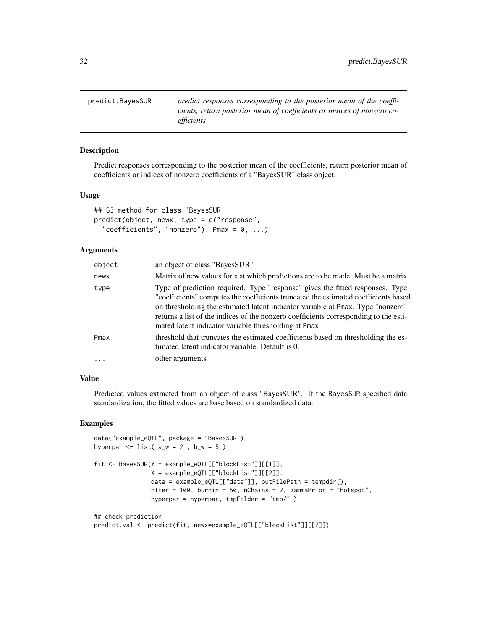<span id="page-31-0"></span>predict.BayesSUR *predict responses corresponding to the posterior mean of the coefficients, return posterior mean of coefficients or indices of nonzero coefficients*

#### Description

Predict responses corresponding to the posterior mean of the coefficients, return posterior mean of coefficients or indices of nonzero coefficients of a "BayesSUR" class object.

#### Usage

```
## S3 method for class 'BayesSUR'
predict(object, newx, type = c("response",
  "coefficients", "nonzero"), Pmax = 0, ...)
```
# Arguments

| object   | an object of class "BayesSUR"                                                                                                                                                                                                                                                                                                                                                                           |
|----------|---------------------------------------------------------------------------------------------------------------------------------------------------------------------------------------------------------------------------------------------------------------------------------------------------------------------------------------------------------------------------------------------------------|
| newx     | Matrix of new values for x at which predictions are to be made. Must be a matrix                                                                                                                                                                                                                                                                                                                        |
| type     | Type of prediction required. Type "response" gives the fitted responses. Type<br>"coefficients" computes the coefficients truncated the estimated coefficients based<br>on thresholding the estimated latent indicator variable at Pmax. Type "nonzero"<br>returns a list of the indices of the nonzero coefficients corresponding to the esti-<br>mated latent indicator variable thresholding at Pmax |
| Pmax     | threshold that truncates the estimated coefficients based on thresholding the es-<br>timated latent indicator variable. Default is 0.                                                                                                                                                                                                                                                                   |
| $\cdots$ | other arguments                                                                                                                                                                                                                                                                                                                                                                                         |
|          |                                                                                                                                                                                                                                                                                                                                                                                                         |

# Value

Predicted values extracted from an object of class "BayesSUR". If the BayesSUR specified data standardization, the fitted values are base based on standardized data.

```
data("example_eQTL", package = "BayesSUR")
hyperpar \le list( a_w = 2, b_w = 5)
fit <- BayesSUR(Y = example_eQTL[["blockList"]][[1]],
               X = example_eQTL[["blockList"]][[2]],
                data = example_eQTL[["data"]], outFilePath = tempdir(),
                nIter = 100, burnin = 50, nChains = 2, gammaPrior = "hotspot",
                hyperpar = hyperpar, tmpFolder = "tmp/" )
## check prediction
predict.val <- predict(fit, newx=example_eQTL[["blockList"]][[2]])
```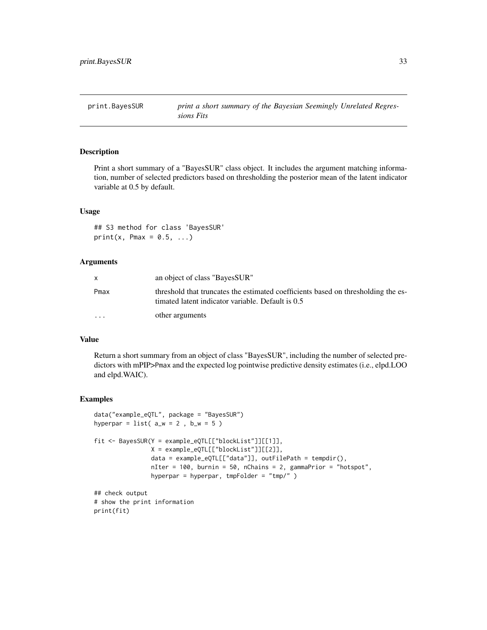<span id="page-32-0"></span>

### Description

Print a short summary of a "BayesSUR" class object. It includes the argument matching information, number of selected predictors based on thresholding the posterior mean of the latent indicator variable at 0.5 by default.

#### Usage

## S3 method for class 'BayesSUR'  $print(x, Pmax = 0.5, ...)$ 

# Arguments

|           | an object of class "BayesSUR"                                                                                                          |
|-----------|----------------------------------------------------------------------------------------------------------------------------------------|
| Pmax      | threshold that truncates the estimated coefficients based on thresholding the es-<br>timated latent indicator variable. Default is 0.5 |
| $\ddotsc$ | other arguments                                                                                                                        |

# Value

Return a short summary from an object of class "BayesSUR", including the number of selected predictors with mPIP>Pmax and the expected log pointwise predictive density estimates (i.e., elpd.LOO and elpd.WAIC).

#### Examples

print(fit)

```
data("example_eQTL", package = "BayesSUR")
hyperpar = list(a_w = 2, b_w = 5)
fit <- BayesSUR(Y = example_eQTL[["blockList"]][[1]],
                X = example_eQTL[["blockList"]][[2]],
                data = example_eQTL[["data"]], outFilePath = tempdir(),
                nIter = 100, burnin = 50, nChains = 2, gammaPrior = "hotspot",
                hyperpar = hyperpar, tmpFolder = "tmp/" )
## check output
# show the print information
```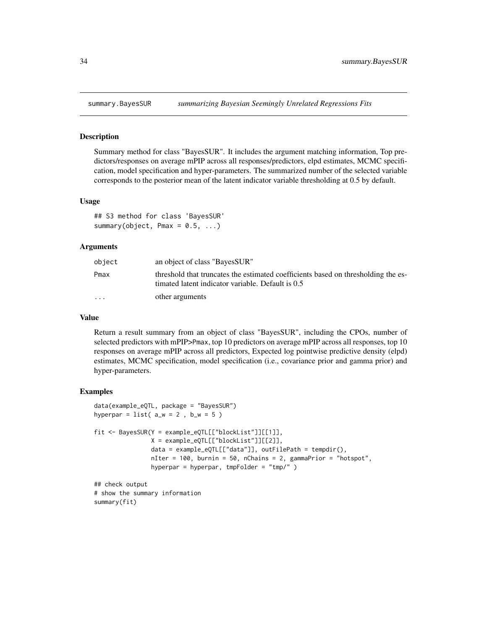<span id="page-33-0"></span>

#### Description

Summary method for class "BayesSUR". It includes the argument matching information, Top predictors/responses on average mPIP across all responses/predictors, elpd estimates, MCMC specification, model specification and hyper-parameters. The summarized number of the selected variable corresponds to the posterior mean of the latent indicator variable thresholding at 0.5 by default.

#### Usage

```
## S3 method for class 'BayesSUR'
summary(object, Pmax = 0.5, ...)
```
#### Arguments

| object    | an object of class "BayesSUR"                                                                                                          |
|-----------|----------------------------------------------------------------------------------------------------------------------------------------|
| Pmax      | threshold that truncates the estimated coefficients based on thresholding the es-<br>timated latent indicator variable. Default is 0.5 |
| $\ddotsc$ | other arguments                                                                                                                        |

#### Value

Return a result summary from an object of class "BayesSUR", including the CPOs, number of selected predictors with mPIP>Pmax, top 10 predictors on average mPIP across all responses, top 10 responses on average mPIP across all predictors, Expected log pointwise predictive density (elpd) estimates, MCMC specification, model specification (i.e., covariance prior and gamma prior) and hyper-parameters.

#### Examples

```
data(example_eQTL, package = "BayesSUR")
hyperpar = list(a_w = 2, b_w = 5)
fit <- BayesSUR(Y = example_eQTL[["blockList"]][[1]],
                X = example_eQTL[["blockList"]][[2]],
                data = example_eQTL[["data"]], outFilePath = tempdir(),
                nIter = 100, burnin = 50, nChains = 2, gammaPrior = "hotspot",
                hyperpar = hyperpar, tmpFolder = "tmp/" )
## check output
```
# show the summary information summary(fit)